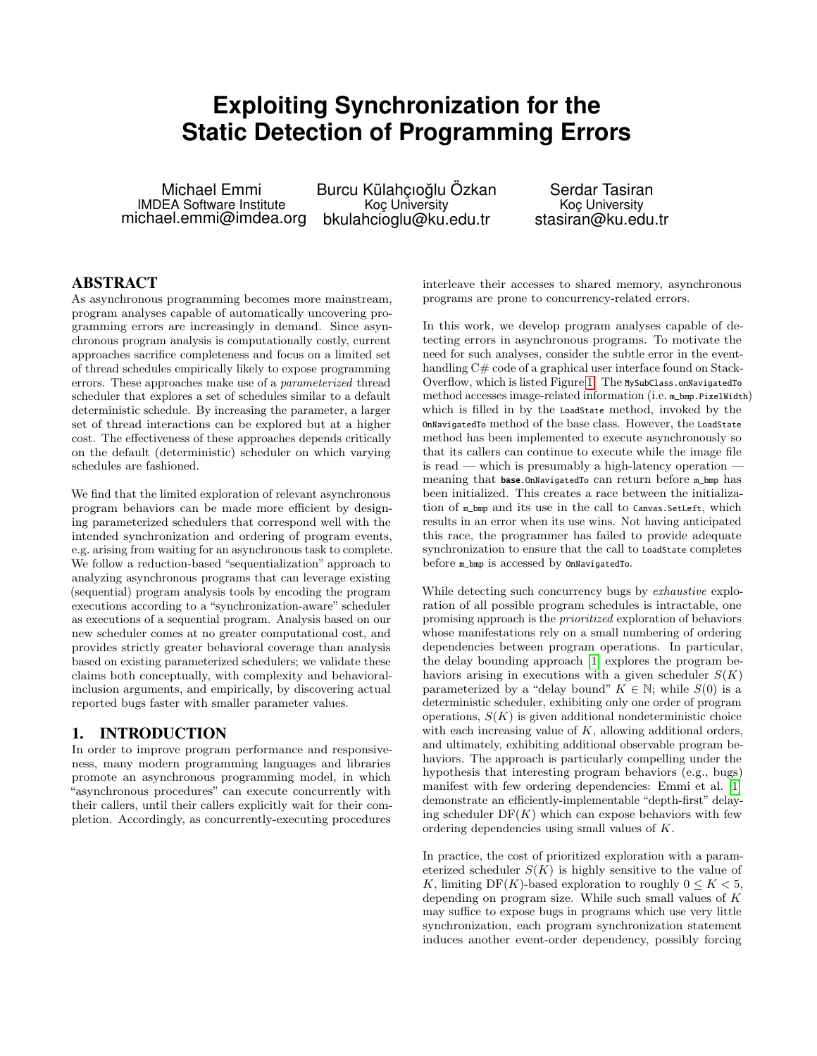# **Exploiting Synchronization for the Static Detection of Programming Errors**

Michael Emmi IMDEA Software Institute michael.emmi@imdea.org Burcu Külahçıoğlu Özkan Koç University bkulahcioglu@ku.edu.tr

Serdar Tasiran Koç University stasiran@ku.edu.tr

# ABSTRACT

As asynchronous programming becomes more mainstream, program analyses capable of automatically uncovering programming errors are increasingly in demand. Since asynchronous program analysis is computationally costly, current approaches sacrifice completeness and focus on a limited set of thread schedules empirically likely to expose programming errors. These approaches make use of a parameterized thread scheduler that explores a set of schedules similar to a default deterministic schedule. By increasing the parameter, a larger set of thread interactions can be explored but at a higher cost. The effectiveness of these approaches depends critically on the default (deterministic) scheduler on which varying schedules are fashioned.

We find that the limited exploration of relevant asynchronous program behaviors can be made more efficient by designing parameterized schedulers that correspond well with the intended synchronization and ordering of program events, e.g. arising from waiting for an asynchronous task to complete. We follow a reduction-based "sequentialization" approach to analyzing asynchronous programs that can leverage existing (sequential) program analysis tools by encoding the program executions according to a "synchronization-aware" scheduler as executions of a sequential program. Analysis based on our new scheduler comes at no greater computational cost, and provides strictly greater behavioral coverage than analysis based on existing parameterized schedulers; we validate these claims both conceptually, with complexity and behavioralinclusion arguments, and empirically, by discovering actual reported bugs faster with smaller parameter values.

# 1. INTRODUCTION

In order to improve program performance and responsiveness, many modern programming languages and libraries promote an asynchronous programming model, in which "asynchronous procedures" can execute concurrently with their callers, until their callers explicitly wait for their completion. Accordingly, as concurrently-executing procedures

interleave their accesses to shared memory, asynchronous programs are prone to concurrency-related errors.

In this work, we develop program analyses capable of detecting errors in asynchronous programs. To motivate the need for such analyses, consider the subtle error in the eventhandling C# code of a graphical user interface found on Stack-Overflow, which is listed Figure [1.](#page-1-0) The MySubClass.onNavigatedTo method accesses image-related information (i.e. m\_bmp.PixelWidth) which is filled in by the LoadState method, invoked by the OnNavigatedTo method of the base class. However, the LoadState method has been implemented to execute asynchronously so that its callers can continue to execute while the image file  $is read$  — which is presumably a high-latency operation  $\overline{\phantom{a}}$ meaning that base.OnNavigatedTo can return before m\_bmp has been initialized. This creates a race between the initialization of m\_bmp and its use in the call to Canvas.SetLeft, which results in an error when its use wins. Not having anticipated this race, the programmer has failed to provide adequate synchronization to ensure that the call to LoadState completes before m\_bmp is accessed by OnNavigatedTo.

While detecting such concurrency bugs by *exhaustive* exploration of all possible program schedules is intractable, one promising approach is the prioritized exploration of behaviors whose manifestations rely on a small numbering of ordering dependencies between program operations. In particular, the delay bounding approach [\[1\]](#page-8-0) explores the program behaviors arising in executions with a given scheduler  $S(K)$ parameterized by a "delay bound"  $K \in \mathbb{N}$ ; while  $S(0)$  is a deterministic scheduler, exhibiting only one order of program operations,  $S(K)$  is given additional nondeterministic choice with each increasing value of  $K$ , allowing additional orders, and ultimately, exhibiting additional observable program behaviors. The approach is particularly compelling under the hypothesis that interesting program behaviors (e.g., bugs) manifest with few ordering dependencies: Emmi et al. [\[1\]](#page-8-0) demonstrate an efficiently-implementable "depth-first" delaying scheduler  $DF(K)$  which can expose behaviors with few ordering dependencies using small values of K.

In practice, the cost of prioritized exploration with a parameterized scheduler  $S(K)$  is highly sensitive to the value of K, limiting DF(K)-based exploration to roughly  $0 \leq K \leq 5$ , depending on program size. While such small values of K may suffice to expose bugs in programs which use very little synchronization, each program synchronization statement induces another event-order dependency, possibly forcing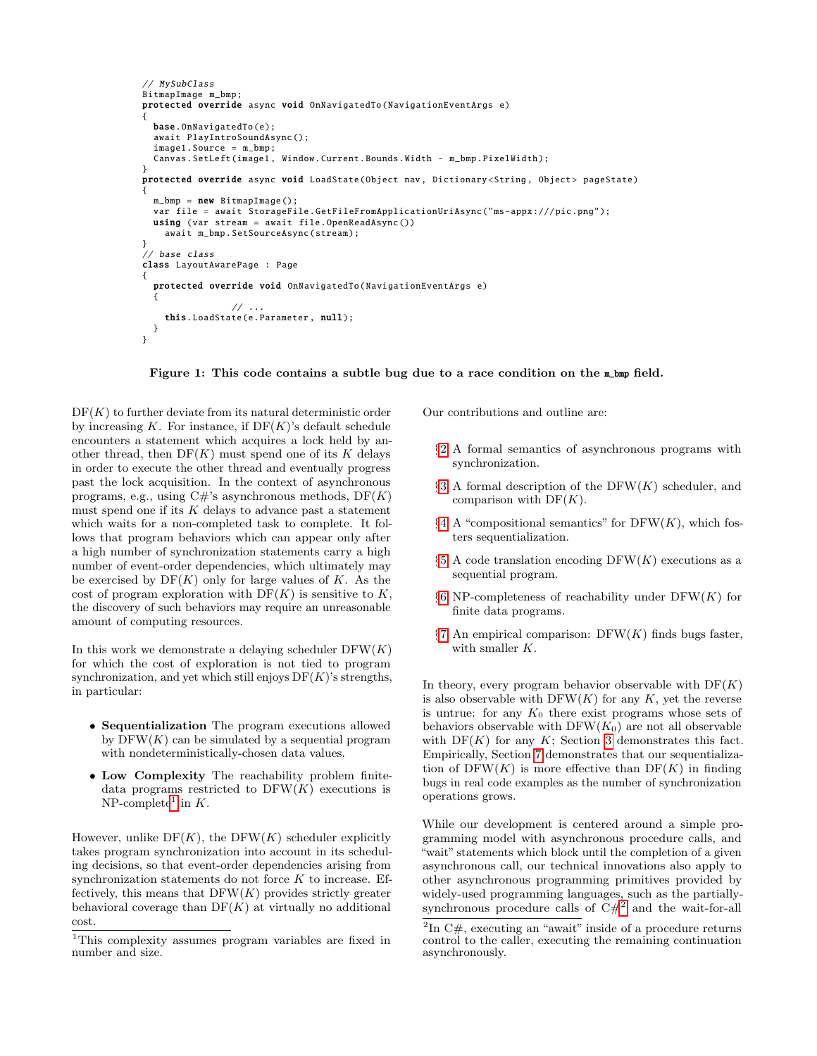```
// MySubClass
BitmapImage m_bmp;
protected override async void OnNavigatedTo ( NavigationEventArgs e)
{
  base. OnNavigatedTo (e);
  await PlayIntroSoundAsync ();
  image1.Source = m_bmp;
  Canvas.SetLeft(image1 , Window.Current.Bounds.Width - m_bmp. PixelWidth );
}
protected override async void LoadState (Object nav, Dictionary <String, Object> pageState)
{
  m_bmp = new BitmapImage();
  var file = await StorageFile . GetFileFromApplicationUriAsync ("ms -appx :/// pic.png");
  using (var stream = await file. OpenReadAsync ())
    await m_bmp. SetSourceAsync (stream);
}
// base class
class LayoutAwarePage : Page
{
  protected override void OnNavigatedTo ( NavigationEventArgs e)
  {
                 \frac{1}{2}...
    this. LoadState (e.Parameter , null);
  }
}
```
<span id="page-1-0"></span>Figure 1: This code contains a subtle bug due to a race condition on the m\_bmp field.

 $DF(K)$  to further deviate from its natural deterministic order by increasing K. For instance, if  $DF(K)$ 's default schedule encounters a statement which acquires a lock held by another thread, then  $DF(K)$  must spend one of its K delays in order to execute the other thread and eventually progress past the lock acquisition. In the context of asynchronous programs, e.g., using  $C\#$ 's asynchronous methods,  $DF(K)$ must spend one if its  $K$  delays to advance past a statement which waits for a non-completed task to complete. It follows that program behaviors which can appear only after a high number of synchronization statements carry a high number of event-order dependencies, which ultimately may be exercised by  $DF(K)$  only for large values of K. As the cost of program exploration with  $DF(K)$  is sensitive to K, the discovery of such behaviors may require an unreasonable amount of computing resources.

In this work we demonstrate a delaying scheduler  $DFW(K)$ for which the cost of exploration is not tied to program synchronization, and yet which still enjoys  $DF(K)$ 's strengths, in particular:

- Sequentialization The program executions allowed by  $DFW(K)$  can be simulated by a sequential program with nondeterministically-chosen data values.
- Low Complexity The reachability problem finitedata programs restricted to  $DFW(K)$  executions is NP-complete<sup>[1](#page-1-1)</sup> in  $K$ .

However, unlike  $DF(K)$ , the  $DF(W(K))$  scheduler explicitly takes program synchronization into account in its scheduling decisions, so that event-order dependencies arising from synchronization statements do not force  $K$  to increase. Effectively, this means that  $DFW(K)$  provides strictly greater behavioral coverage than  $DF(K)$  at virtually no additional cost.

Our contributions and outline are:

- §[2](#page-2-0) A formal semantics of asynchronous programs with synchronization.
- $§3$  $§3$  A formal description of the DFW(K) scheduler, and comparison with  $DF(K)$ .
- $§4$  $§4$  A "compositional semantics" for DFW $(K)$ , which fosters sequentialization.
- $§5$  $§5$  A code translation encoding DFW(K) executions as a sequential program.
- $§6$  $§6$  NP-completeness of reachability under DFW $(K)$  for finite data programs.
- $\S7$  $\S7$  An empirical comparison: DFW(K) finds bugs faster, with smaller K.

In theory, every program behavior observable with  $DF(K)$ is also observable with  $DFW(K)$  for any K, yet the reverse is untrue: for any  $K_0$  there exist programs whose sets of behaviors observable with  $DFW(K_0)$  are not all observable with  $DF(K)$  for any K; Section [3](#page-3-0) demonstrates this fact. Empirically, Section [7](#page-6-1) demonstrates that our sequentialization of  $DFW(K)$  is more effective than  $DF(K)$  in finding bugs in real code examples as the number of synchronization operations grows.

While our development is centered around a simple programming model with asynchronous procedure calls, and "wait" statements which block until the completion of a given asynchronous call, our technical innovations also apply to other asynchronous programming primitives provided by widely-used programming languages, such as the partiallysynchronous procedure calls of  $C#^2$  $C#^2$  and the wait-for-all

<span id="page-1-1"></span><sup>1</sup>This complexity assumes program variables are fixed in number and size.

<span id="page-1-2"></span> ${}^{2}\text{In C#}$ , executing an "await" inside of a procedure returns control to the caller, executing the remaining continuation asynchronously.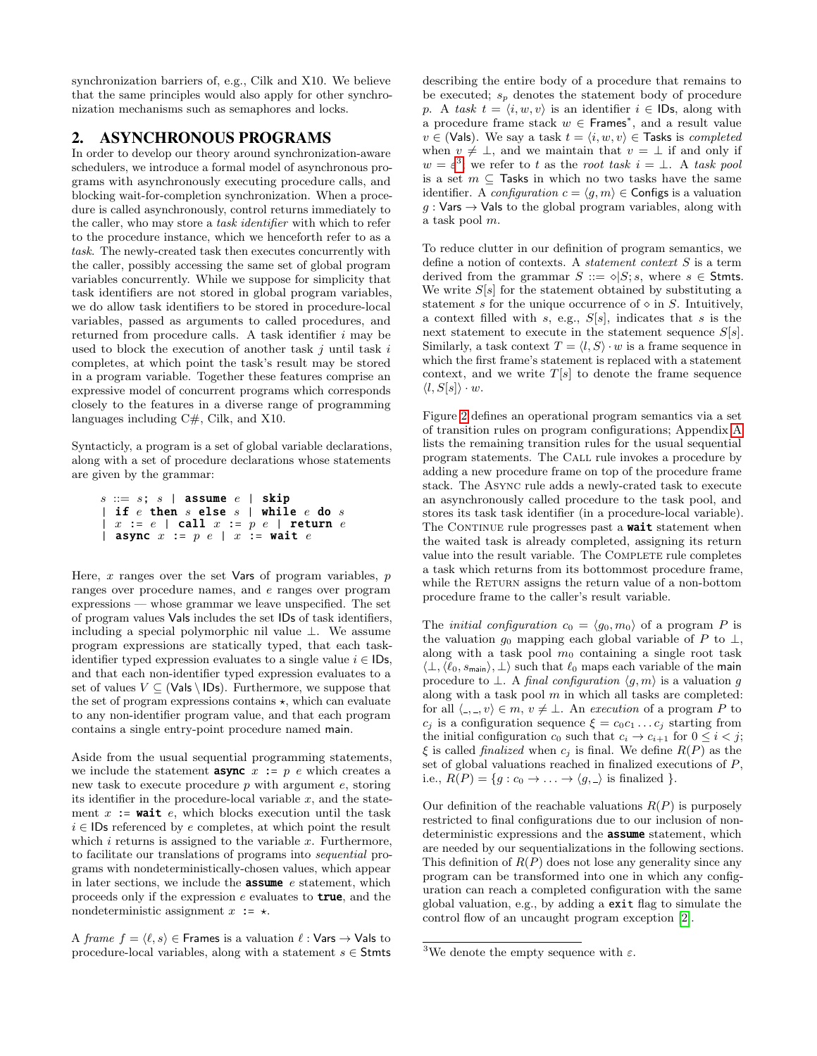synchronization barriers of, e.g., Cilk and X10. We believe that the same principles would also apply for other synchronization mechanisms such as semaphores and locks.

# <span id="page-2-0"></span>2. ASYNCHRONOUS PROGRAMS

In order to develop our theory around synchronization-aware schedulers, we introduce a formal model of asynchronous programs with asynchronously executing procedure calls, and blocking wait-for-completion synchronization. When a procedure is called asynchronously, control returns immediately to the caller, who may store a task identifier with which to refer to the procedure instance, which we henceforth refer to as a task. The newly-created task then executes concurrently with the caller, possibly accessing the same set of global program variables concurrently. While we suppose for simplicity that task identifiers are not stored in global program variables, we do allow task identifiers to be stored in procedure-local variables, passed as arguments to called procedures, and returned from procedure calls. A task identifier i may be used to block the execution of another task  $j$  until task  $i$ completes, at which point the task's result may be stored in a program variable. Together these features comprise an expressive model of concurrent programs which corresponds closely to the features in a diverse range of programming languages including C#, Cilk, and X10.

Syntacticly, a program is a set of global variable declarations, along with a set of procedure declarations whose statements are given by the grammar:

$$
s ::= s; s |
$$
 assume  $e |$  skip  $|$  if  $e$  then  $s$  else  $s |$  while  $e$  do  $s$   $|$   $x := e |$  call  $x := p e |$  return  $e$   $|$  **async**  $x := p e |$   $x :=$  wait  $e$ 

Here,  $x$  ranges over the set Vars of program variables,  $p$ ranges over procedure names, and e ranges over program expressions — whose grammar we leave unspecified. The set of program values Vals includes the set IDs of task identifiers, including a special polymorphic nil value ⊥. We assume program expressions are statically typed, that each taskidentifier typed expression evaluates to a single value  $i \in \mathsf{IDs}$ , and that each non-identifier typed expression evaluates to a set of values  $V \subseteq (Vals \setminus IDs)$ . Furthermore, we suppose that the set of program expressions contains  $\star$ , which can evaluate to any non-identifier program value, and that each program contains a single entry-point procedure named main.

Aside from the usual sequential programming statements, we include the statement **async**  $x := p e$  which creates a new task to execute procedure p with argument e, storing its identifier in the procedure-local variable  $x$ , and the statement  $x := \text{wait} e$ , which blocks execution until the task  $i \in$  IDs referenced by e completes, at which point the result which  $i$  returns is assigned to the variable  $x$ . Furthermore, to facilitate our translations of programs into sequential programs with nondeterministically-chosen values, which appear in later sections, we include the **assume**  $e$  statement, which proceeds only if the expression  $e$  evaluates to **true**, and the nondeterministic assignment  $x := \star$ .

A frame  $f = \langle \ell, s \rangle \in$  Frames is a valuation  $\ell : \mathsf{Vars} \to \mathsf{Vals}$  to procedure-local variables, along with a statement  $s \in$  Stmts describing the entire body of a procedure that remains to be executed;  $s_p$  denotes the statement body of procedure p. A task  $t = \langle i, w, v \rangle$  is an identifier  $i \in \mathsf{IDs}$ , along with a procedure frame stack  $w \in$  Frames<sup>\*</sup>, and a result value  $v \in (V_{\mathsf{a}} | s)$ . We say a task  $t = \langle i, w, v \rangle \in \mathsf{T}_{\mathsf{a}}$  is completed when  $v \neq \perp$ , and we maintain that  $v = \perp$  if and only if  $w = \varepsilon^3$  $w = \varepsilon^3$ ; we refer to t as the root task  $i = \bot$ . A task pool is a set  $m \subseteq$  Tasks in which no two tasks have the same identifier. A *configuration*  $c = \langle q, m \rangle \in$  Configs is a valuation  $g:$  Vars  $\rightarrow$  Vals to the global program variables, along with a task pool m.

To reduce clutter in our definition of program semantics, we define a notion of contexts. A statement context S is a term derived from the grammar  $S ::= \diamond | S; s$ , where  $s \in$  Stmts. We write  $S[s]$  for the statement obtained by substituting a statement s for the unique occurrence of  $\circ$  in S. Intuitively, a context filled with s, e.g.,  $S[s]$ , indicates that s is the next statement to execute in the statement sequence  $S[s]$ . Similarly, a task context  $T = \langle l, S \rangle \cdot w$  is a frame sequence in which the first frame's statement is replaced with a statement context, and we write  $T[s]$  to denote the frame sequence  $\langle l, S[s]\rangle \cdot w.$ 

Figure [2](#page-3-1) defines an operational program semantics via a set of transition rules on program configurations; Appendix [A](#page-9-0) lists the remaining transition rules for the usual sequential program statements. The Call rule invokes a procedure by adding a new procedure frame on top of the procedure frame stack. The Async rule adds a newly-crated task to execute an asynchronously called procedure to the task pool, and stores its task task identifier (in a procedure-local variable). The CONTINUE rule progresses past a **wait** statement when the waited task is already completed, assigning its return value into the result variable. The COMPLETE rule completes a task which returns from its bottommost procedure frame, while the RETURN assigns the return value of a non-bottom procedure frame to the caller's result variable.

The *initial configuration*  $c_0 = \langle g_0, m_0 \rangle$  of a program P is the valuation  $g_0$  mapping each global variable of P to  $\perp$ , along with a task pool  $m_0$  containing a single root task  $\langle \perp, \langle \ell_0, s_{\text{main}} \rangle, \perp \rangle$  such that  $\ell_0$  maps each variable of the main procedure to  $\bot$ . A final configuration  $\langle g, m \rangle$  is a valuation g along with a task pool  $m$  in which all tasks are completed: for all  $\langle -, \rangle, v \in m, v \neq \bot$ . An execution of a program P to  $c_j$  is a configuration sequence  $\xi = c_0 c_1 \dots c_j$  starting from the initial configuration  $c_0$  such that  $c_i \rightarrow c_{i+1}$  for  $0 \leq i \leq j$ ;  $\xi$  is called *finalized* when  $c_j$  is final. We define  $R(P)$  as the set of global valuations reached in finalized executions of  $P$ , i.e.,  $R(P) = \{g : c_0 \to \ldots \to \langle g, \_ \rangle \}$  is finalized  $\}$ .

Our definition of the reachable valuations  $R(P)$  is purposely restricted to final configurations due to our inclusion of nondeterministic expressions and the assume statement, which are needed by our sequentializations in the following sections. This definition of  $R(P)$  does not lose any generality since any program can be transformed into one in which any configuration can reach a completed configuration with the same global valuation, e.g., by adding a exit flag to simulate the control flow of an uncaught program exception [\[2\]](#page-8-1).

<span id="page-2-1"></span><sup>&</sup>lt;sup>3</sup>We denote the empty sequence with  $\varepsilon$ .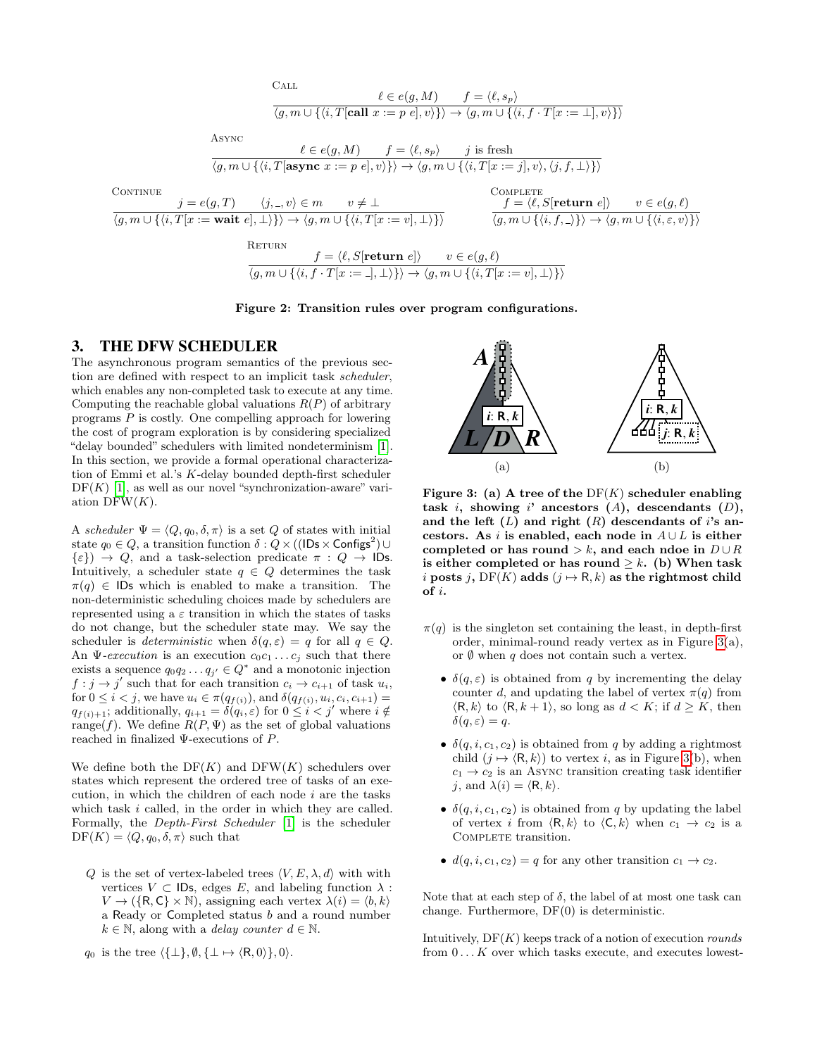$$
\ell \in e(g, M) \qquad f = \langle \ell, s_p \rangle
$$
  

$$
\langle g, m \cup \{ \langle i, T[\textbf{call } x := p \ e], v \rangle \} \rangle \rightarrow \langle g, m \cup \{ \langle i, f \cdot T[x := \bot], v \rangle \} \rangle
$$

COMPLETE

Async

 $C_{\Lambda T}$ 

$$
\ell \in e(g, M) \qquad f = \langle \ell, s_p \rangle \qquad j \text{ is fresh}
$$

$$
\langle g, m \cup \{ \langle i, T[\text{async } x := p \ e], v \rangle \} \rangle \rightarrow \langle g, m \cup \{ \langle i, T[x := j], v \rangle, \langle j, f, \bot \rangle \} \rangle
$$

CONTINUE

$$
\frac{j = e(g, T) \qquad \langle j, \_ v \rangle \in m \qquad v \neq \bot \qquad \qquad f = \langle \ell, S[\textbf{return } e] \rangle \qquad v \in e(g, \ell) \tag{g, m \cup \{(i, T[x := \textbf{wait } e], \bot) \}) \rightarrow \langle g, m \cup \{(i, T[x := v], \bot) \} \rangle} \qquad \frac{f = \langle \ell, S[\textbf{return } e] \rangle \qquad v \in e(g, \ell) \tag{h, f, \bot} \}
$$
\n
$$
\text{RETURN}
$$

$$
\frac{f = \langle \ell, S[\text{return } e] \rangle \qquad v \in e(g, \ell)
$$

$$
\langle g, m \cup \{ \langle i, f \cdot T[x := \_], \bot \rangle \} \rangle \rightarrow \langle g, m \cup \{ \langle i, T[x := v], \bot \rangle \} \rangle
$$

### <span id="page-3-1"></span>Figure 2: Transition rules over program configurations.

# <span id="page-3-0"></span>3. THE DFW SCHEDULER

The asynchronous program semantics of the previous section are defined with respect to an implicit task scheduler, which enables any non-completed task to execute at any time. Computing the reachable global valuations  $R(P)$  of arbitrary programs P is costly. One compelling approach for lowering the cost of program exploration is by considering specialized "delay bounded" schedulers with limited nondeterminism [\[1\]](#page-8-0). In this section, we provide a formal operational characterization of Emmi et al.'s K-delay bounded depth-first scheduler  $DF(K)$  [\[1\]](#page-8-0), as well as our novel "synchronization-aware" variation  $DFW(K)$ .

A scheduler  $\Psi = \langle Q, q_0, \delta, \pi \rangle$  is a set Q of states with initial state  $q_0 \in Q$ , a transition function  $\delta: Q \times ((\mathsf{IDs} \times \mathsf{Configs}^2) \cup$  $\{\varepsilon\}) \rightarrow Q$ , and a task-selection predicate  $\pi : Q \rightarrow$  IDs. Intuitively, a scheduler state  $q \in Q$  determines the task  $\pi(q) \in \mathsf{IDs}$  which is enabled to make a transition. The non-deterministic scheduling choices made by schedulers are represented using a  $\varepsilon$  transition in which the states of tasks do not change, but the scheduler state may. We say the scheduler is *deterministic* when  $\delta(q, \varepsilon) = q$  for all  $q \in Q$ . An  $\Psi$ -execution is an execution  $c_0c_1 \ldots c_j$  such that there exists a sequence  $q_0q_2 \ldots q_{j'} \in Q^*$  and a monotonic injection  $f : j \to j'$  such that for each transition  $c_i \to c_{i+1}$  of task  $u_i$ , for  $0 \leq i < j$ , we have  $u_i \in \pi(q_{f(i)})$ , and  $\delta(q_{f(i)}, u_i, c_i, c_{i+1}) =$  $q_{f(i)+1}$ ; additionally,  $q_{i+1} = \delta(q_i, \varepsilon)$  for  $0 \leq i < j'$  where  $i \notin$ range(f). We define  $R(P, \Psi)$  as the set of global valuations reached in finalized Ψ-executions of P.

We define both the  $DF(K)$  and  $DFW(K)$  schedulers over states which represent the ordered tree of tasks of an execution, in which the children of each node  $i$  are the tasks which task i called, in the order in which they are called. Formally, the Depth-First Scheduler [\[1\]](#page-8-0) is the scheduler  $DF(K) = \langle Q, q_0, \delta, \pi \rangle$  such that

Q is the set of vertex-labeled trees  $\langle V, E, \lambda, d \rangle$  with with vertices  $V \subset$  IDs, edges E, and labeling function  $\lambda$ :  $V \to (\{\mathsf{R},\mathsf{C}\}\times\mathbb{N})$ , assigning each vertex  $\lambda(i) = \langle b, k \rangle$ a Ready or Completed status b and a round number  $k \in \mathbb{N}$ , along with a *delay counter*  $d \in \mathbb{N}$ .





<span id="page-3-2"></span>Figure 3: (a) A tree of the  $DF(K)$  scheduler enabling task  $i$ , showing  $i'$  ancestors  $(A)$ , descendants  $(D)$ , and the left  $(L)$  and right  $(R)$  descendants of i's ancestors. As i is enabled, each node in  $A \cup L$  is either completed or has round > k, and each ndoe in  $D \cup R$ is either completed or has round  $\geq k$ . (b) When task i posts j, DF(K) adds ( $j \mapsto R, k$ ) as the rightmost child  $of *i*$ .

- $\pi(q)$  is the singleton set containing the least, in depth-first order, minimal-round ready vertex as in Figure [3\(](#page-3-2)a), or  $\emptyset$  when q does not contain such a vertex.
	- $\delta(q,\varepsilon)$  is obtained from q by incrementing the delay counter d, and updating the label of vertex  $\pi(q)$  from  $\langle R, k \rangle$  to  $\langle R, k + 1 \rangle$ , so long as  $d \langle K; \text{if } d \geq K$ , then  $\delta(q,\varepsilon)=q.$
	- $\delta(q, i, c_1, c_2)$  is obtained from q by adding a rightmost child  $(j \mapsto \langle \mathsf{R}, k \rangle)$  to vertex i, as in Figure [3\(](#page-3-2)b), when  $c_1 \rightarrow c_2$  is an Async transition creating task identifier j, and  $\lambda(i) = \langle \mathsf{R}, k \rangle$ .
	- $\delta(q, i, c_1, c_2)$  is obtained from q by updating the label of vertex i from  $\langle R, k \rangle$  to  $\langle C, k \rangle$  when  $c_1 \rightarrow c_2$  is a COMPLETE transition.
	- $d(q, i, c_1, c_2) = q$  for any other transition  $c_1 \rightarrow c_2$ .

Note that at each step of  $\delta$ , the label of at most one task can change. Furthermore, DF(0) is deterministic.

Intuitively,  $DF(K)$  keeps track of a notion of execution *rounds* from  $0 \dots K$  over which tasks execute, and executes lowest-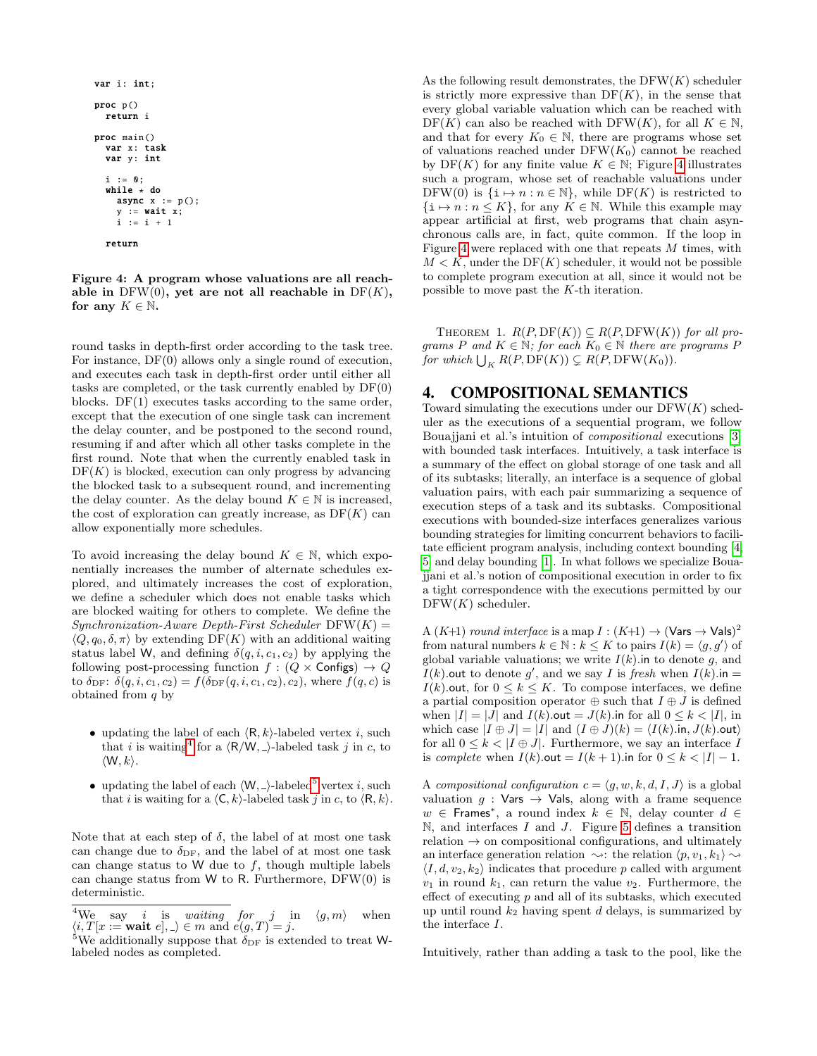```
var i: int;
proc p()
  return i
proc main ()
  var x: task
  var y: int
  i := 0;
  while \star do
    async x := p();
     y := wait x;
i := i + 1
  return
```
<span id="page-4-3"></span>Figure 4: A program whose valuations are all reachable in  $DFW(0)$ , yet are not all reachable in  $DF(K)$ , for any  $K \in \mathbb{N}$ .

round tasks in depth-first order according to the task tree. For instance, DF(0) allows only a single round of execution, and executes each task in depth-first order until either all tasks are completed, or the task currently enabled by DF(0) blocks. DF(1) executes tasks according to the same order, except that the execution of one single task can increment the delay counter, and be postponed to the second round, resuming if and after which all other tasks complete in the first round. Note that when the currently enabled task in  $DF(K)$  is blocked, execution can only progress by advancing the blocked task to a subsequent round, and incrementing the delay counter. As the delay bound  $K \in \mathbb{N}$  is increased, the cost of exploration can greatly increase, as  $DF(K)$  can allow exponentially more schedules.

To avoid increasing the delay bound  $K \in \mathbb{N}$ , which exponentially increases the number of alternate schedules explored, and ultimately increases the cost of exploration, we define a scheduler which does not enable tasks which are blocked waiting for others to complete. We define the  $Synchronization$ -Aware Depth-First Scheduler  $DFW(K) =$  $\langle Q, q_0, \delta, \pi \rangle$  by extending DF(K) with an additional waiting status label W, and defining  $\delta(q, i, c_1, c_2)$  by applying the following post-processing function  $f : (Q \times \textsf{Configs}) \rightarrow Q$ to  $\delta_{\text{DF}}$ :  $\delta(q, i, c_1, c_2) = f(\delta_{\text{DF}}(q, i, c_1, c_2), c_2)$ , where  $f(q, c)$  is obtained from  $q$  by

- updating the label of each  $\langle \mathsf{R}, k \rangle$ -labeled vertex i, such that i is waiting<sup>[4](#page-4-1)</sup> for a  $\langle R/W, \rangle$ -labeled task j in c, to  $\langle W, k \rangle$ .
- updating the label of each  $\langle W, \_\rangle$ -labeled<sup>[5](#page-4-2)</sup> vertex i, such that i is waiting for a  $\langle \mathsf{C}, k \rangle$ -labeled task j in c, to  $\langle \mathsf{R}, k \rangle$ .

Note that at each step of  $\delta$ , the label of at most one task can change due to  $\delta_{\text{DF}}$ , and the label of at most one task can change status to W due to  $f$ , though multiple labels can change status from  $W$  to R. Furthermore, DFW $(0)$  is deterministic.

As the following result demonstrates, the  $DFW(K)$  scheduler is strictly more expressive than  $DF(K)$ , in the sense that every global variable valuation which can be reached with  $DF(K)$  can also be reached with  $DFW(K)$ , for all  $K \in \mathbb{N}$ , and that for every  $K_0 \in \mathbb{N}$ , there are programs whose set of valuations reached under  $DFW(K_0)$  cannot be reached by  $DF(K)$  for any finite value  $K \in \mathbb{N}$ ; Figure [4](#page-4-3) illustrates such a program, whose set of reachable valuations under DFW(0) is  $\{i \mapsto n : n \in \mathbb{N}\}\$ , while DF(K) is restricted to  $\{i \mapsto n : n \leq K\}$ , for any  $K \in \mathbb{N}$ . While this example may appear artificial at first, web programs that chain asynchronous calls are, in fact, quite common. If the loop in Figure [4](#page-4-3) were replaced with one that repeats M times, with  $M < K$ , under the DF(K) scheduler, it would not be possible to complete program execution at all, since it would not be possible to move past the K-th iteration.

THEOREM 1.  $R(P, \text{DF}(K)) \subseteq R(P, \text{DFW}(K))$  for all programs P and  $K \in \mathbb{N}$ ; for each  $K_0 \in \mathbb{N}$  there are programs P for which  $\bigcup_K R(P, \mathrm{DF}(K)) \subsetneq R(P, \mathrm{DFW}(K_0)).$ 

# <span id="page-4-0"></span>4. COMPOSITIONAL SEMANTICS

Toward simulating the executions under our  $DFW(K)$  scheduler as the executions of a sequential program, we follow Bouajiani et al.'s intuition of *compositional* executions [\[3\]](#page-8-2) with bounded task interfaces. Intuitively, a task interface is a summary of the effect on global storage of one task and all of its subtasks; literally, an interface is a sequence of global valuation pairs, with each pair summarizing a sequence of execution steps of a task and its subtasks. Compositional executions with bounded-size interfaces generalizes various bounding strategies for limiting concurrent behaviors to facilitate efficient program analysis, including context bounding [\[4,](#page-8-3) [5\]](#page-8-4) and delay bounding [\[1\]](#page-8-0). In what follows we specialize Bouajjani et al.'s notion of compositional execution in order to fix a tight correspondence with the executions permitted by our  $DFW(K)$  scheduler.

A  $(K+1)$  round interface is a map  $I:(K+1) \rightarrow (\text{Vars} \rightarrow \text{Vals})^2$ from natural numbers  $k \in \mathbb{N} : k \leq K$  to pairs  $I(k) = \langle g, g' \rangle$  of global variable valuations; we write  $I(k)$ . in to denote g, and  $I(k)$  out to denote g', and we say I is fresh when  $I(k)$  in =  $I(k)$ .out, for  $0 \leq k \leq K$ . To compose interfaces, we define a partial composition operator  $\oplus$  such that  $I \oplus J$  is defined when  $|I| = |J|$  and  $I(k)$  out  $= J(k)$  in for all  $0 \le k \le |I|$ , in which case  $|I \oplus J| = |I|$  and  $(I \oplus J)(k) = \langle I(k) \ldots, J(k) \ldots \rangle$ for all  $0 \leq k < |I \oplus J|$ . Furthermore, we say an interface I is complete when  $I(k)$ .out =  $I(k + 1)$ .in for  $0 \le k \le |I| - 1$ .

A compositional configuration  $c = \langle g, w, k, d, I, J \rangle$  is a global valuation  $g : \mathsf{Vars} \to \mathsf{Vals}$ , along with a frame sequence  $w \in$  Frames<sup>\*</sup>, a round index  $k \in \mathbb{N}$ , delay counter  $d \in$  $\mathbb N$ , and interfaces I and J. Figure [5](#page-5-1) defines a transition relation  $\rightarrow$  on compositional configurations, and ultimately an interface generation relation  $\rightsquigarrow$ : the relation  $\langle p, v_1, k_1 \rangle \rightsquigarrow$  $\langle I, d, v_2, k_2 \rangle$  indicates that procedure p called with argument  $v_1$  in round  $k_1$ , can return the value  $v_2$ . Furthermore, the effect of executing  $p$  and all of its subtasks, which executed up until round  $k_2$  having spent d delays, is summarized by the interface I.

Intuitively, rather than adding a task to the pool, like the

<span id="page-4-1"></span><sup>&</sup>lt;sup>4</sup>We say *i* is *waiting for j* in  $\langle g, m \rangle$  when  $\langle i, T[x := \textbf{wait } e], \_ \rangle \in m \text{ and } e(g, T) = j.$ 

<span id="page-4-2"></span><sup>&</sup>lt;sup>5</sup>We additionally suppose that  $\delta_{\text{DF}}$  is extended to treat Wlabeled nodes as completed.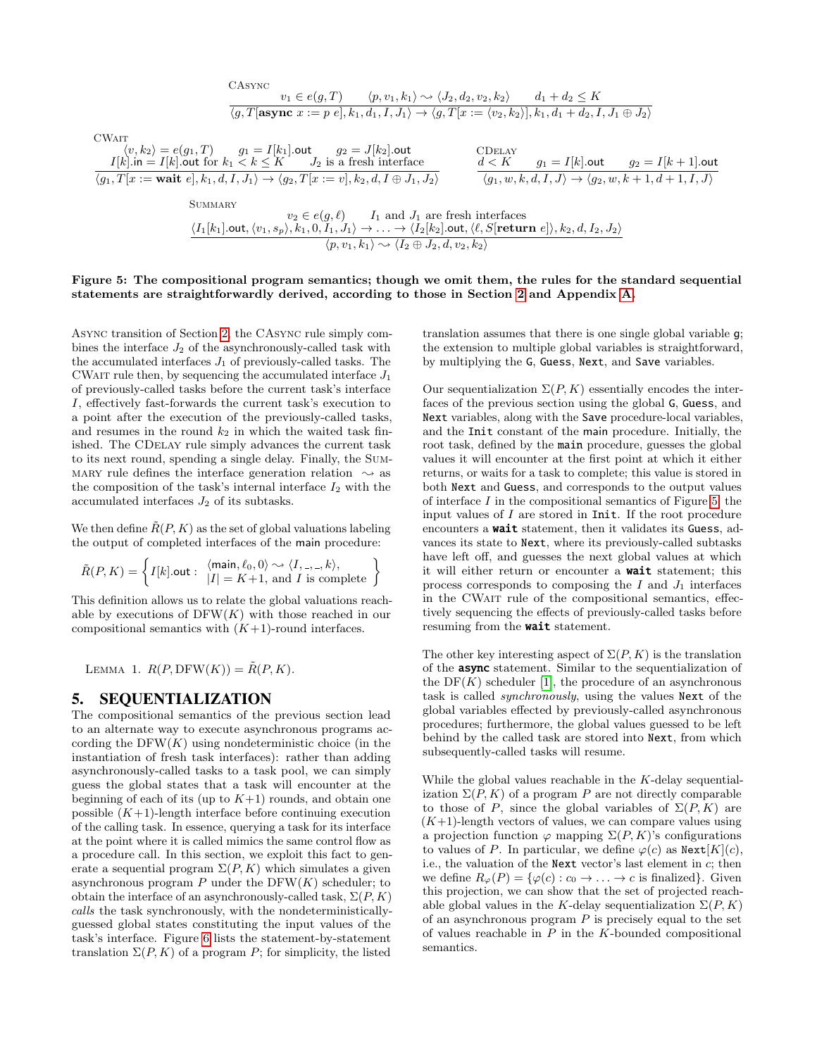$$
\text{C}\text{MAT} \quad \text{C}\text{MAT} \quad \text{C}\text{MAT} \quad \text{C}\text{MAT} \quad \text{C}\text{MAT} \quad \text{C}\text{MAT} \quad \text{C}\text{MAT} \quad \text{C}\text{MAT} \quad \text{C}\text{MAT} \quad \text{C}\text{MAT} \quad \text{C}\text{MAT} \quad \text{C}\text{MAT} \quad \text{C}\text{MAT} \quad \text{C}\text{MAT} \quad \text{C}\text{MAT} \quad \text{C}\text{MAT} \quad \text{C}\text{MAT} \quad \text{C}\text{MAT} \quad \text{C}\text{MAT} \quad \text{C}\text{MAT} \quad \text{C}\text{MAT} \quad \text{C}\text{MAT} \quad \text{C}\text{MAT} \quad \text{C}\text{MAT} \quad \text{C}\text{MAT} \quad \text{C}\text{MAT} \quad \text{C}\text{MAT} \quad \text{C}\text{MAT} \quad \text{C}\text{MAT} \quad \text{C}\text{MAT} \quad \text{C}\text{MAT} \quad \text{C}\text{MAT} \quad \text{C}\text{MAT} \quad \text{C}\text{MAT} \quad \text{C}\text{MAT} \quad \text{C}\text{MAT} \quad \text{C}\text{MAT} \quad \text{C}\text{MAT} \quad \text{C}\text{MAT} \quad \text{C}\text{MAT} \quad \text{C}\text{MAT} \quad \text{C}\text{MAT} \quad \text{C}\text{MAT} \quad \text{C}\text{MAT} \quad \text{C}\text{MAT} \quad \text{C}\text{MAT} \quad \text{C}\text{MAT} \quad \text{C}\text{MAT} \quad \text{C}\text{MAT} \quad \text{C}\text{MAT} \quad \text{C}\text{MAT} \quad \text{C}\text{MAT} \quad \text{C}\text{MAT} \quad \text{C}\text{MAT} \quad \text{C}\text{MAT} \quad \text{C}\text{MAT} \quad \text{C}\text{MAT} \quad \text{C}\text{MAT} \quad \text{C}\text{MAT} \quad \text{C}\text{MAT} \quad \text{C}\text{MAT} \quad \text{C}\text{MAT} \quad \text{C}\text{MAT} \quad \text{C
$$

#### <span id="page-5-1"></span>Figure 5: The compositional program semantics; though we omit them, the rules for the standard sequential statements are straightforwardly derived, according to those in Section [2](#page-2-0) and Appendix [A.](#page-9-0)

Async transition of Section [2,](#page-2-0) the CAsync rule simply combines the interface  $J_2$  of the asynchronously-called task with the accumulated interfaces  $J_1$  of previously-called tasks. The CWAIT rule then, by sequencing the accumulated interface  $J_1$ of previously-called tasks before the current task's interface I, effectively fast-forwards the current task's execution to a point after the execution of the previously-called tasks, and resumes in the round  $k_2$  in which the waited task finished. The CDelay rule simply advances the current task to its next round, spending a single delay. Finally, the Sum-MARY rule defines the interface generation relation  $\sim$  as the composition of the task's internal interface  $I_2$  with the accumulated interfaces  $J_2$  of its subtasks.

We then define  $\tilde{R}(P, K)$  as the set of global valuations labeling the output of completed interfaces of the main procedure:

$$
\tilde{R}(P,K) = \left\{ I[k].\text{out}: \begin{array}{l} \langle \text{main}, \ell_0, 0 \rangle \sim \langle I, \_, \_, k \rangle, \\ |I| = K+1, \text{ and } I \text{ is complete} \end{array} \right\}
$$

This definition allows us to relate the global valuations reachable by executions of  $DFW(K)$  with those reached in our compositional semantics with  $(K+1)$ -round interfaces.

<span id="page-5-2"></span>LEMMA 1.  $R(P, \text{DFW}(K)) = \tilde{R}(P, K)$ .

### <span id="page-5-0"></span>5. SEQUENTIALIZATION

The compositional semantics of the previous section lead to an alternate way to execute asynchronous programs according the  $DFW(K)$  using nondeterministic choice (in the instantiation of fresh task interfaces): rather than adding asynchronously-called tasks to a task pool, we can simply guess the global states that a task will encounter at the beginning of each of its (up to  $K+1$ ) rounds, and obtain one possible  $(K+1)$ -length interface before continuing execution of the calling task. In essence, querying a task for its interface at the point where it is called mimics the same control flow as a procedure call. In this section, we exploit this fact to generate a sequential program  $\Sigma(P, K)$  which simulates a given asynchronous program  $P$  under the DFW $(K)$  scheduler; to obtain the interface of an asynchronously-called task,  $\Sigma(P, K)$ calls the task synchronously, with the nondeterministicallyguessed global states constituting the input values of the task's interface. Figure [6](#page-6-2) lists the statement-by-statement translation  $\Sigma(P, K)$  of a program P; for simplicity, the listed

translation assumes that there is one single global variable g; the extension to multiple global variables is straightforward, by multiplying the G, Guess, Next, and Save variables.

Our sequentialization  $\Sigma(P, K)$  essentially encodes the interfaces of the previous section using the global G, Guess, and Next variables, along with the Save procedure-local variables, and the Init constant of the main procedure. Initially, the root task, defined by the main procedure, guesses the global values it will encounter at the first point at which it either returns, or waits for a task to complete; this value is stored in both Next and Guess, and corresponds to the output values of interface  $I$  in the compositional semantics of Figure [5;](#page-5-1) the input values of  $I$  are stored in Init. If the root procedure encounters a wait statement, then it validates its Guess, advances its state to Next, where its previously-called subtasks have left off, and guesses the next global values at which it will either return or encounter a wait statement; this process corresponds to composing the  $I$  and  $J_1$  interfaces in the CWAIT rule of the compositional semantics, effectively sequencing the effects of previously-called tasks before resuming from the **wait** statement.

The other key interesting aspect of  $\Sigma(P, K)$  is the translation of the async statement. Similar to the sequentialization of the  $DF(K)$  scheduler [\[1\]](#page-8-0), the procedure of an asynchronous task is called synchronously, using the values Next of the global variables effected by previously-called asynchronous procedures; furthermore, the global values guessed to be left behind by the called task are stored into Next, from which subsequently-called tasks will resume.

<span id="page-5-3"></span>While the global values reachable in the K-delay sequentialization  $\Sigma(P, K)$  of a program P are not directly comparable to those of P, since the global variables of  $\Sigma(P, K)$  are  $(K+1)$ -length vectors of values, we can compare values using a projection function  $\varphi$  mapping  $\Sigma(P, K)$ 's configurations to values of P. In particular, we define  $\varphi(c)$  as  $\text{Next}[K](c)$ , i.e., the valuation of the Next vector's last element in  $c$ ; then we define  $R_{\varphi}(P) = {\varphi(c) : c_0 \to \dots \to c$  is finalized. Given this projection, we can show that the set of projected reachable global values in the K-delay sequentialization  $\Sigma(P, K)$ of an asynchronous program  $P$  is precisely equal to the set of values reachable in  $P$  in the K-bounded compositional semantics.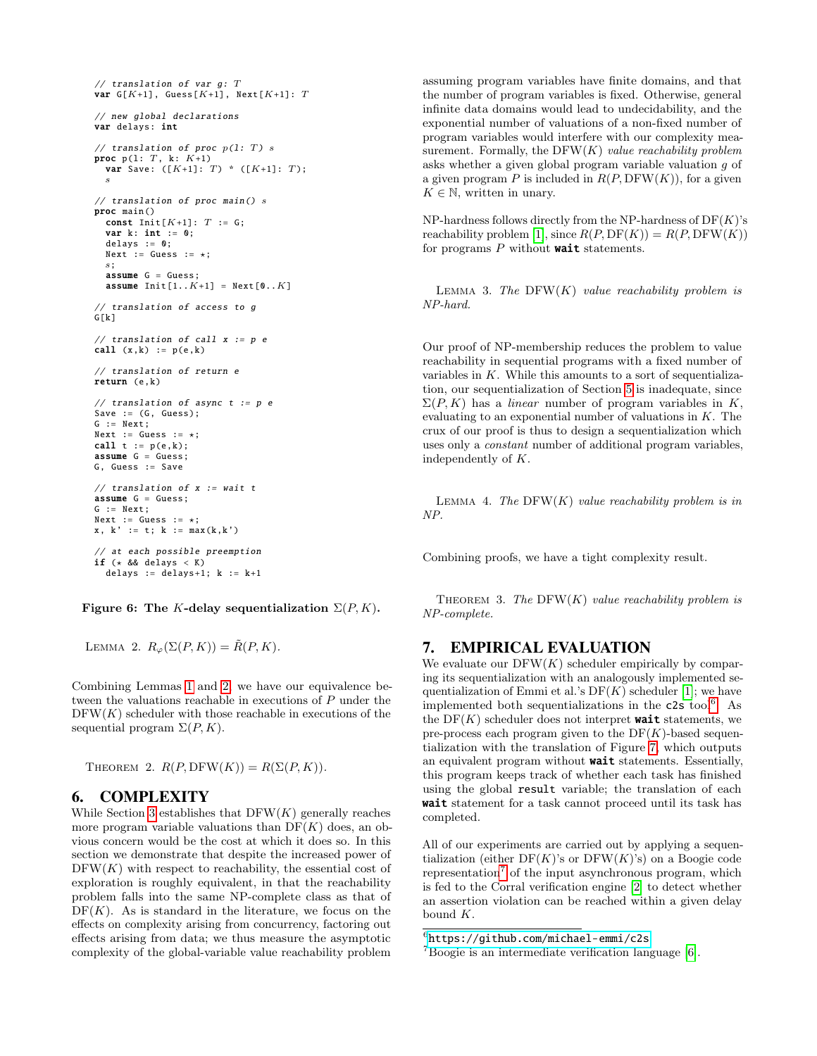```
// translation of var g: T
var G[K+1], Guess[K+1], Next[K+1]: T
// new global declarations
var delays: int
// translation of proc p(1: T) s
proc p(1: T, k: K+1)var Save: ([K+1]: T) * ([K+1]: T);s
// translation of proc main() sproc main ()
  const Init[K+1]: T := G;var k: int := 0;delays := 0;
  Next := Guess := \star;
  s;
  assume G = Guess;
  assume Init[1..K+1] = Next[0..K]// translation of access to g
G[k]
// translation of call x := p ecall (x, k) := p(e, k)// translation of return e
return (e,k)
// translation of async t := p e
Save := (G, Guess);G := Next:Next := Guess := \star;
call t := p(e, k);
assume G = Guess:
G, Guess := Save
// translation of x := waitassume G = Guess;
G := Next;Next := Guess := *;x, k' := t; k := max(k, k')at each possible preemption
\begin{align*}\n \text{if } (\star \& \& \text{delays} < K) \\
 \text{if } (\star \& \& \text{delays} < K)\n \end{align*}delays := delays+1; k := k+1
```
<span id="page-6-2"></span>Figure 6: The K-delay sequentialization  $\Sigma(P, K)$ .

LEMMA 2.  $R_{\varphi}(\Sigma(P, K)) = \tilde{R}(P, K)$ .

Combining Lemmas [1](#page-5-2) and [2,](#page-5-3) we have our equivalence between the valuations reachable in executions of P under the  $DFW(K)$  scheduler with those reachable in executions of the sequential program  $\Sigma(P, K)$ .

THEOREM 2.  $R(P, \text{DFW}(K)) = R(\Sigma(P, K)).$ 

### <span id="page-6-0"></span>6. COMPLEXITY

While Section [3](#page-3-0) establishes that  $DFW(K)$  generally reaches more program variable valuations than  $DF(K)$  does, an obvious concern would be the cost at which it does so. In this section we demonstrate that despite the increased power of  $DFW(K)$  with respect to reachability, the essential cost of exploration is roughly equivalent, in that the reachability problem falls into the same NP-complete class as that of  $DF(K)$ . As is standard in the literature, we focus on the effects on complexity arising from concurrency, factoring out effects arising from data; we thus measure the asymptotic complexity of the global-variable value reachability problem

assuming program variables have finite domains, and that the number of program variables is fixed. Otherwise, general infinite data domains would lead to undecidability, and the exponential number of valuations of a non-fixed number of program variables would interfere with our complexity measurement. Formally, the  $DFW(K)$  value reachability problem asks whether a given global program variable valuation g of a given program P is included in  $R(P, \text{DFW}(K))$ , for a given  $K \in \mathbb{N}$ , written in unary.

NP-hardness follows directly from the NP-hardness of  $DF(K)$ 's reachability problem [\[1\]](#page-8-0), since  $R(P, \text{DF}(K)) = R(P, \text{DF}W(K))$ for programs  $P$  without **wait** statements.

LEMMA 3. The  $DFW(K)$  value reachability problem is NP-hard.

Our proof of NP-membership reduces the problem to value reachability in sequential programs with a fixed number of variables in  $K$ . While this amounts to a sort of sequentialization, our sequentialization of Section [5](#page-5-0) is inadequate, since  $\Sigma(P, K)$  has a *linear* number of program variables in K, evaluating to an exponential number of valuations in  $K$ . The crux of our proof is thus to design a sequentialization which uses only a constant number of additional program variables, independently of K.

LEMMA 4. The  $DFW(K)$  value reachability problem is in NP.

Combining proofs, we have a tight complexity result.

THEOREM 3. The  $DFW(K)$  value reachability problem is NP-complete.

# <span id="page-6-1"></span>7. EMPIRICAL EVALUATION

We evaluate our  $DFW(K)$  scheduler empirically by comparing its sequentialization with an analogously implemented sequentialization of Emmi et al.'s  $DF(K)$  scheduler [\[1\]](#page-8-0); we have implemented both sequentializations in the c2s tool<sup>[6](#page-6-3)</sup>. As the  $DF(K)$  scheduler does not interpret **wait** statements, we pre-process each program given to the  $DF(K)$ -based sequentialization with the translation of Figure [7,](#page-7-0) which outputs an equivalent program without wait statements. Essentially, this program keeps track of whether each task has finished using the global result variable; the translation of each wait statement for a task cannot proceed until its task has completed.

All of our experiments are carried out by applying a sequentialization (either  $DF(K)$ 's or  $DF(W(K)$ 's) on a Boogie code representation<sup>[7](#page-6-4)</sup> of the input asynchronous program, which is fed to the Corral verification engine [\[2\]](#page-8-1) to detect whether an assertion violation can be reached within a given delay bound K.

<span id="page-6-3"></span> $^6$ <https://github.com/michael-emmi/c2s>

<span id="page-6-4"></span> $7Booqie$  is an intermediate verification language  $[6]$ .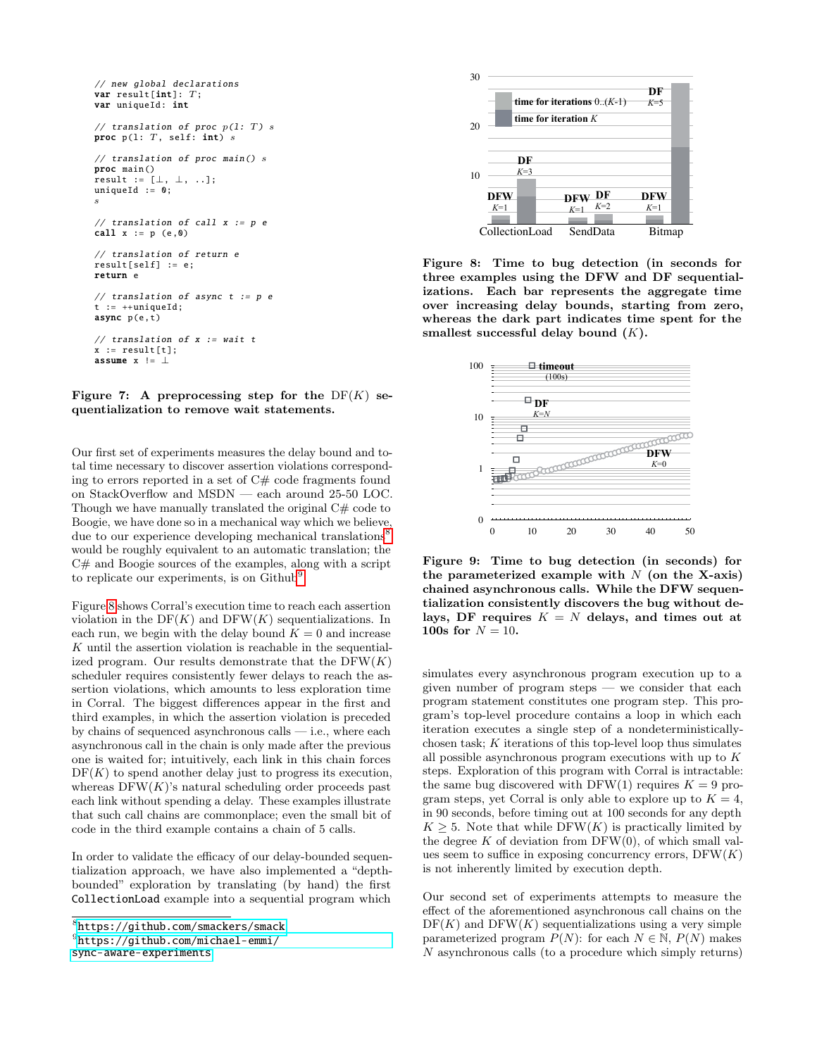```
// new global declarations
var result[int]: T;
var uniqueId: int
// translation of proc p(1: T) s
proc p(1: T, self: int) s
// translation of proc main () s
proc main ()
result := [\perp, \perp, \ldots];
uniqueId := 0;s
// translation of call x := p ecall x := p (e,0)
// translation of return e
result[self] := e;
return e
// translation of async t := p et := ++uniqueId:
async p(e,t)
// translation of x := waitx := result[t]:
assume x = 1
```
<span id="page-7-0"></span>Figure 7: A preprocessing step for the  $DF(K)$  se- $\mathbf{r}_{\text{start}}$  is the form of  $\mathbf{r}_{\text{start}}$  in the  $\mathbf{r}_{\text{start}}$  of  $\mathbf{r}_{\text{start}}$  is a quentialization to remove wait statements.

Our first set of experiments measures the delay bound and total time necessary to discover assertion violations correspond-**DF**  *K*=3 ing to errors reported in a set of  $C#$  code fragments found on StackOverflow and MSDN — each around 25-50 LOC. Though we have manually translated the original  $C#$  code to Boogie, we have done so in a mechanical way which we believe, due to our experience developing mechanical translations<sup>[8](#page-7-1)</sup> would be roughly equivalent to an automatic translation; the C# and Boogie sources of the examples, along with a script to replicate our experiments, is on Github<sup>[9](#page-7-2)</sup>.

Figure [8](#page-7-3) shows Corral's execution time to reach each assertion violation in the  $DF(K)$  and  $DFW(K)$  sequentializations. In each run, we begin with the delay bound  $K = 0$  and increase K until the assertion violation is reachable in the sequentialized program. Our results demonstrate that the  $DFW(K)$ scheduler requires consistently fewer delays to reach the assertion violations, which amounts to less exploration time in Corral. The biggest differences appear in the first and third examples, in which the assertion violation is preceded by chains of sequenced asynchronous calls — i.e., where each asynchronous call in the chain is only made after the previous one is waited for; intuitively, each link in this chain forces  $DF(K)$  to spend another delay just to progress its execution, whereas  $DFW(K)$ 's natural scheduling order proceeds past each link without spending a delay. These examples illustrate that such call chains are commonplace; even the small bit of code in the third example contains a chain of 5 calls.

In order to validate the efficacy of our delay-bounded sequentialization approach, we have also implemented a "depthbounded" exploration by translating (by hand) the first CollectionLoad example into a sequential program which

```
sync-aware-experiments
```


<span id="page-7-3"></span>Figure 8: Time to bug detection (in seconds for three examples using the DFW and DF sequentializations. Each bar represents the aggregate time over increasing delay bounds, starting from zero, whereas the dark part indicates time spent for the smallest successful delay bound  $(K)$ .



<span id="page-7-4"></span>Figure 9: Time to bug detection (in seconds) for the parameterized example with  $N$  (on the X-axis) chained asynchronous calls. While the DFW sequentialization consistently discovers the bug without delays, DF requires  $K = N$  delays, and times out at **100s for**  $N = 10$ .

simulates every asynchronous program execution up to a given number of program steps — we consider that each program statement constitutes one program step. This program's top-level procedure contains a loop in which each iteration executes a single step of a nondeterministicallychosen task; K iterations of this top-level loop thus simulates all possible asynchronous program executions with up to K steps. Exploration of this program with Corral is intractable: the same bug discovered with DFW(1) requires  $K = 9$  program steps, yet Corral is only able to explore up to  $K = 4$ , in 90 seconds, before timing out at 100 seconds for any depth  $K \geq 5$ . Note that while DFW(K) is practically limited by the degree  $K$  of deviation from DFW $(0)$ , of which small values seem to suffice in exposing concurrency errors,  $DFW(K)$ is not inherently limited by execution depth.

Our second set of experiments attempts to measure the effect of the aforementioned asynchronous call chains on the  $DF(K)$  and  $DFW(K)$  sequentializations using a very simple parameterized program  $P(N)$ : for each  $N \in \mathbb{N}$ ,  $P(N)$  makes N asynchronous calls (to a procedure which simply returns)

<span id="page-7-1"></span><sup>8</sup> <https://github.com/smackers/smack>.

<span id="page-7-2"></span> $^{9}$ [https://github.com/michael-emmi/](https://github.com/michael-emmi/sync-aware-experiments)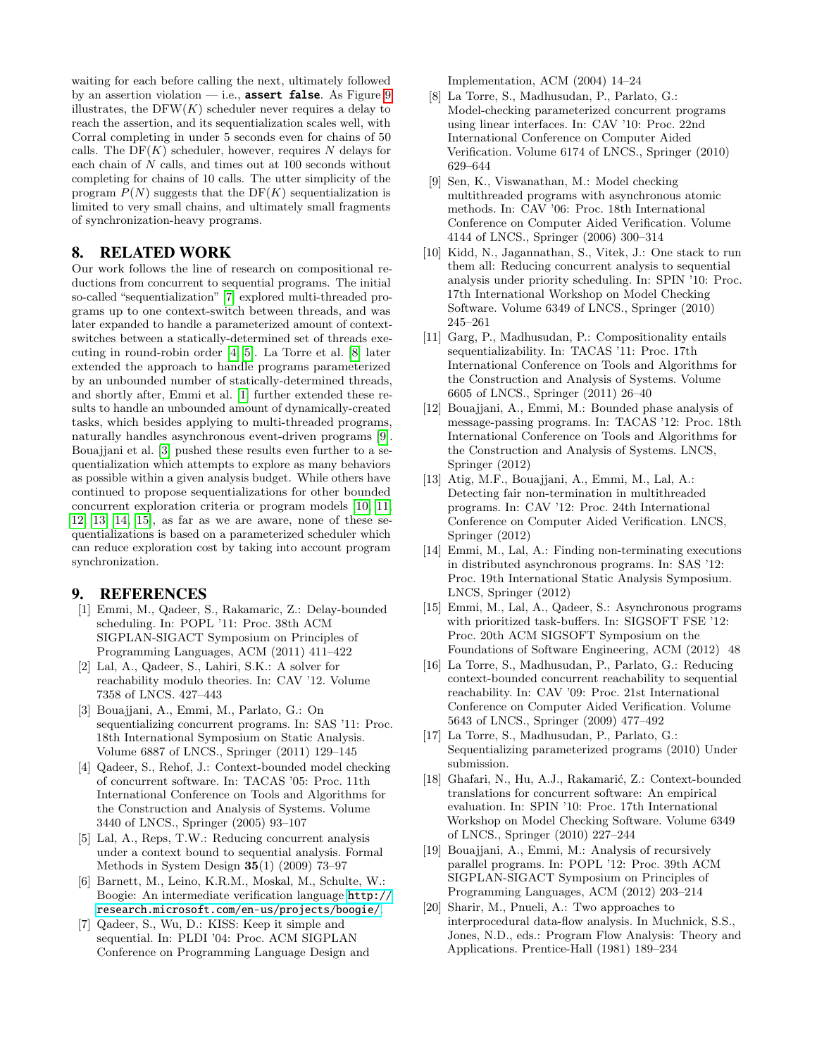waiting for each before calling the next, ultimately followed by an assertion violation — i.e., **assert false**. As Figure [9](#page-7-4) illustrates, the  $DFW(K)$  scheduler never requires a delay to reach the assertion, and its sequentialization scales well, with Corral completing in under 5 seconds even for chains of 50 calls. The  $DF(K)$  scheduler, however, requires N delays for each chain of N calls, and times out at 100 seconds without completing for chains of 10 calls. The utter simplicity of the program  $P(N)$  suggests that the DF(K) sequentialization is limited to very small chains, and ultimately small fragments of synchronization-heavy programs.

# 8. RELATED WORK

Our work follows the line of research on compositional reductions from concurrent to sequential programs. The initial so-called "sequentialization" [\[7\]](#page-8-6) explored multi-threaded programs up to one context-switch between threads, and was later expanded to handle a parameterized amount of contextswitches between a statically-determined set of threads executing in round-robin order [\[4,](#page-8-3) [5\]](#page-8-4). La Torre et al. [\[8\]](#page-8-7) later extended the approach to handle programs parameterized by an unbounded number of statically-determined threads, and shortly after, Emmi et al. [\[1\]](#page-8-0) further extended these results to handle an unbounded amount of dynamically-created tasks, which besides applying to multi-threaded programs, naturally handles asynchronous event-driven programs [\[9\]](#page-8-8). Bouajjani et al. [\[3\]](#page-8-2) pushed these results even further to a sequentialization which attempts to explore as many behaviors as possible within a given analysis budget. While others have continued to propose sequentializations for other bounded concurrent exploration criteria or program models [\[10,](#page-8-9) [11,](#page-8-10) [12,](#page-8-11) [13,](#page-8-12) [14,](#page-8-13) [15\]](#page-8-14), as far as we are aware, none of these sequentializations is based on a parameterized scheduler which can reduce exploration cost by taking into account program synchronization.

### 9. REFERENCES

- <span id="page-8-0"></span>[1] Emmi, M., Qadeer, S., Rakamaric, Z.: Delay-bounded scheduling. In: POPL '11: Proc. 38th ACM SIGPLAN-SIGACT Symposium on Principles of Programming Languages, ACM (2011) 411–422
- <span id="page-8-1"></span>[2] Lal, A., Qadeer, S., Lahiri, S.K.: A solver for reachability modulo theories. In: CAV '12. Volume 7358 of LNCS. 427–443
- <span id="page-8-2"></span>[3] Bouajjani, A., Emmi, M., Parlato, G.: On sequentializing concurrent programs. In: SAS '11: Proc. 18th International Symposium on Static Analysis. Volume 6887 of LNCS., Springer (2011) 129–145
- <span id="page-8-3"></span>[4] Qadeer, S., Rehof, J.: Context-bounded model checking of concurrent software. In: TACAS '05: Proc. 11th International Conference on Tools and Algorithms for the Construction and Analysis of Systems. Volume 3440 of LNCS., Springer (2005) 93–107
- <span id="page-8-4"></span>[5] Lal, A., Reps, T.W.: Reducing concurrent analysis under a context bound to sequential analysis. Formal Methods in System Design 35(1) (2009) 73–97
- <span id="page-8-5"></span>[6] Barnett, M., Leino, K.R.M., Moskal, M., Schulte, W.: Boogie: An intermediate verification language [http://](http://research.microsoft.com/en-us/projects/boogie/) [research.microsoft.com/en-us/projects/boogie/](http://research.microsoft.com/en-us/projects/boogie/).
- <span id="page-8-6"></span>[7] Qadeer, S., Wu, D.: KISS: Keep it simple and sequential. In: PLDI '04: Proc. ACM SIGPLAN Conference on Programming Language Design and

Implementation, ACM (2004) 14–24

- <span id="page-8-7"></span>[8] La Torre, S., Madhusudan, P., Parlato, G.: Model-checking parameterized concurrent programs using linear interfaces. In: CAV '10: Proc. 22nd International Conference on Computer Aided Verification. Volume 6174 of LNCS., Springer (2010) 629–644
- <span id="page-8-8"></span>[9] Sen, K., Viswanathan, M.: Model checking multithreaded programs with asynchronous atomic methods. In: CAV '06: Proc. 18th International Conference on Computer Aided Verification. Volume 4144 of LNCS., Springer (2006) 300–314
- <span id="page-8-9"></span>[10] Kidd, N., Jagannathan, S., Vitek, J.: One stack to run them all: Reducing concurrent analysis to sequential analysis under priority scheduling. In: SPIN '10: Proc. 17th International Workshop on Model Checking Software. Volume 6349 of LNCS., Springer (2010) 245–261
- <span id="page-8-10"></span>[11] Garg, P., Madhusudan, P.: Compositionality entails sequentializability. In: TACAS '11: Proc. 17th International Conference on Tools and Algorithms for the Construction and Analysis of Systems. Volume 6605 of LNCS., Springer (2011) 26–40
- <span id="page-8-11"></span>[12] Bouajjani, A., Emmi, M.: Bounded phase analysis of message-passing programs. In: TACAS '12: Proc. 18th International Conference on Tools and Algorithms for the Construction and Analysis of Systems. LNCS, Springer (2012)
- <span id="page-8-12"></span>[13] Atig, M.F., Bouajjani, A., Emmi, M., Lal, A.: Detecting fair non-termination in multithreaded programs. In: CAV '12: Proc. 24th International Conference on Computer Aided Verification. LNCS, Springer (2012)
- <span id="page-8-13"></span>[14] Emmi, M., Lal, A.: Finding non-terminating executions in distributed asynchronous programs. In: SAS '12: Proc. 19th International Static Analysis Symposium. LNCS, Springer (2012)
- <span id="page-8-14"></span>[15] Emmi, M., Lal, A., Qadeer, S.: Asynchronous programs with prioritized task-buffers. In: SIGSOFT FSE '12: Proc. 20th ACM SIGSOFT Symposium on the Foundations of Software Engineering, ACM (2012) 48
- [16] La Torre, S., Madhusudan, P., Parlato, G.: Reducing context-bounded concurrent reachability to sequential reachability. In: CAV '09: Proc. 21st International Conference on Computer Aided Verification. Volume 5643 of LNCS., Springer (2009) 477–492
- [17] La Torre, S., Madhusudan, P., Parlato, G.: Sequentializing parameterized programs (2010) Under submission.
- [18] Ghafari, N., Hu, A.J., Rakamarić, Z.: Context-bounded translations for concurrent software: An empirical evaluation. In: SPIN '10: Proc. 17th International Workshop on Model Checking Software. Volume 6349 of LNCS., Springer (2010) 227–244
- [19] Bouajjani, A., Emmi, M.: Analysis of recursively parallel programs. In: POPL '12: Proc. 39th ACM SIGPLAN-SIGACT Symposium on Principles of Programming Languages, ACM (2012) 203–214
- [20] Sharir, M., Pnueli, A.: Two approaches to interprocedural data-flow analysis. In Muchnick, S.S., Jones, N.D., eds.: Program Flow Analysis: Theory and Applications. Prentice-Hall (1981) 189–234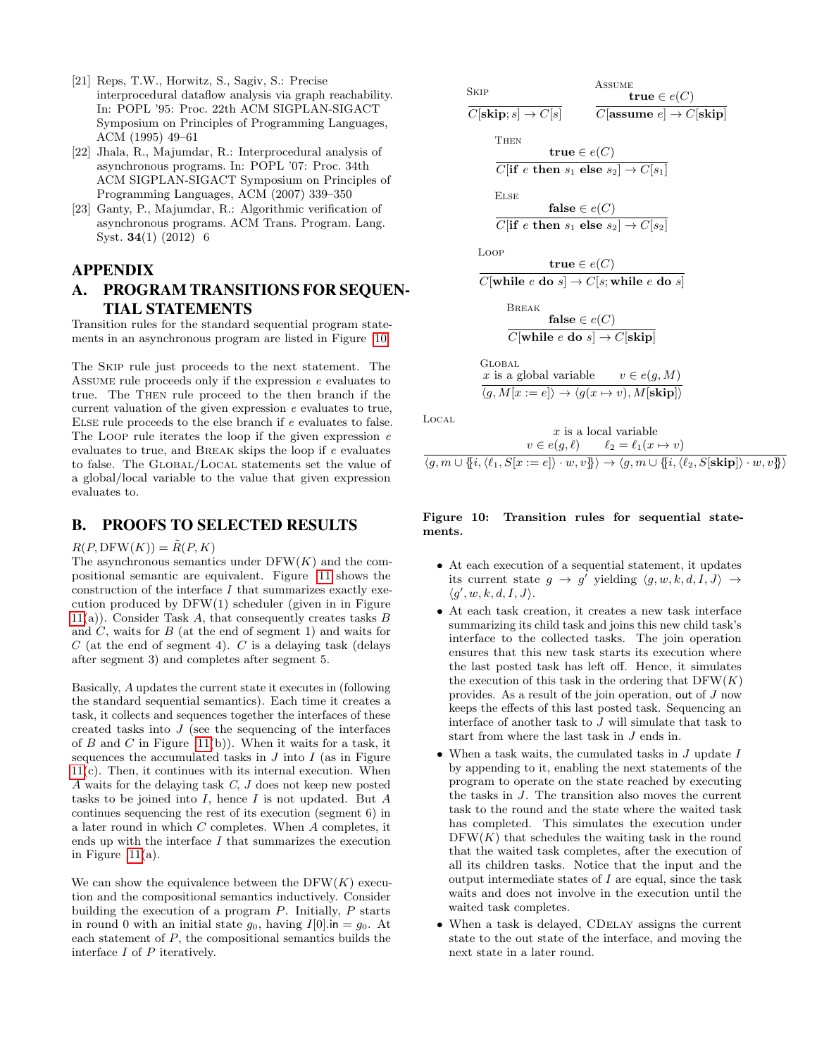- [21] Reps, T.W., Horwitz, S., Sagiv, S.: Precise interprocedural dataflow analysis via graph reachability. In: POPL '95: Proc. 22th ACM SIGPLAN-SIGACT Symposium on Principles of Programming Languages, ACM (1995) 49–61
- [22] Jhala, R., Majumdar, R.: Interprocedural analysis of asynchronous programs. In: POPL '07: Proc. 34th ACM SIGPLAN-SIGACT Symposium on Principles of Programming Languages, ACM (2007) 339–350
- [23] Ganty, P., Majumdar, R.: Algorithmic verification of asynchronous programs. ACM Trans. Program. Lang. Syst. 34(1) (2012) 6

### APPENDIX

# <span id="page-9-0"></span>A. PROGRAM TRANSITIONS FOR SEQUEN-TIAL STATEMENTS

Transition rules for the standard sequential program statements in an asynchronous program are listed in Figure [10.](#page-9-1)

The Skip rule just proceeds to the next statement. The Assume rule proceeds only if the expression e evaluates to true. The Then rule proceed to the then branch if the current valuation of the given expression e evaluates to true, Else rule proceeds to the else branch if e evaluates to false. The LOOP rule iterates the loop if the given expression  $e$ evaluates to true, and Break skips the loop if e evaluates to false. The Global/Local statements set the value of a global/local variable to the value that given expression evaluates to.

### B. PROOFS TO SELECTED RESULTS

### $R(P, \text{DFW}(K)) = \tilde{R}(P, K)$

The asynchronous semantics under  $DFW(K)$  and the compositional semantic are equivalent. Figure [11](#page-10-0) shows the construction of the interface I that summarizes exactly execution produced by DFW(1) scheduler (given in in Figure  $11(a)$  $11(a)$ ). Consider Task A, that consequently creates tasks B and  $C$ , waits for  $B$  (at the end of segment 1) and waits for  $C$  (at the end of segment 4).  $C$  is a delaying task (delays after segment 3) and completes after segment 5.

Basically, A updates the current state it executes in (following the standard sequential semantics). Each time it creates a task, it collects and sequences together the interfaces of these created tasks into  $J$  (see the sequencing of the interfaces of B and C in Figure [11\(](#page-10-0)b)). When it waits for a task, it sequences the accumulated tasks in  $J$  into  $I$  (as in Figure  $11(c)$  $11(c)$ . Then, it continues with its internal execution. When A waits for the delaying task C, J does not keep new posted tasks to be joined into  $I$ , hence  $I$  is not updated. But  $A$ continues sequencing the rest of its execution (segment 6) in a later round in which C completes. When A completes, it ends up with the interface  $I$  that summarizes the execution in Figure  $11(a)$ .

We can show the equivalence between the  $DFW(K)$  execution and the compositional semantics inductively. Consider building the execution of a program P. Initially, P starts in round 0 with an initial state  $g_0$ , having  $I[0]$ .in =  $g_0$ . At each statement of  $P$ , the compositional semantics builds the interface  $I$  of  $P$  iteratively.

| SkIP                                                                                          | Assume                                           |                 |
|-----------------------------------------------------------------------------------------------|--------------------------------------------------|-----------------|
| $C[\text{skip}; s] \rightarrow C[s]$                                                          | $C[\text{assume } e] \rightarrow C[\text{skip}]$ |                 |
| THEN                                                                                          | true $\in e(C)$                                  |                 |
| $\overline{C[\text{if } e \text{ then } s_1 \text{ else } s_2] \rightarrow C[s_1]}$           |                                                  |                 |
| ELSE                                                                                          | false $\in e(C)$                                 |                 |
| $\overline{C[\text{if } e \text{ then } s_1 \text{ else } s_2] \rightarrow C[s_2]}$           |                                                  |                 |
| Loop                                                                                          | true $\in e(C)$                                  |                 |
| $\overline{C[\text{while } e \text{ do } s] \rightarrow C[s; \text{while } e \text{ do } s]}$ |                                                  |                 |
| BREAK                                                                                         | false $\in e(C)$                                 |                 |
| $\overline{C[\text{while } e \text{ do } s] \rightarrow C[\text{skip}]}$                      |                                                  |                 |
| GLOBAL                                                                                        | ais a global variable                            | $v \in e(g, M)$ |
| $\langle g, M[x := e] \rangle \rightarrow \langle g(x \mapsto v), M[\text{skip}] \rangle$     |                                                  |                 |

Local

$$
x \text{ is a local variable}
$$

$$
v \in e(g, \ell) \qquad \ell_2 = \ell_1(x \mapsto v)
$$

$$
\langle g, m \cup \{i, \langle \ell_1, S[x := e] \rangle \cdot w, v\} \rangle \rightarrow \langle g, m \cup \{i, \langle \ell_2, S[\textbf{skip}] \rangle \cdot w, v\} \rangle
$$

### <span id="page-9-1"></span>Figure 10: Transition rules for sequential statements.

- At each execution of a sequential statement, it updates its current state  $g \to g'$  yielding  $\langle g, w, k, d, I, J \rangle \to$  $\langle g', w, k, d, I, J \rangle$ .
- At each task creation, it creates a new task interface summarizing its child task and joins this new child task's interface to the collected tasks. The join operation ensures that this new task starts its execution where the last posted task has left off. Hence, it simulates the execution of this task in the ordering that  $DFW(K)$ provides. As a result of the join operation, out of J now keeps the effects of this last posted task. Sequencing an interface of another task to J will simulate that task to start from where the last task in J ends in.
- When a task waits, the cumulated tasks in  $J$  update  $I$ by appending to it, enabling the next statements of the program to operate on the state reached by executing the tasks in J. The transition also moves the current task to the round and the state where the waited task has completed. This simulates the execution under  $DFW(K)$  that schedules the waiting task in the round that the waited task completes, after the execution of all its children tasks. Notice that the input and the output intermediate states of  $I$  are equal, since the task waits and does not involve in the execution until the waited task completes.
- When a task is delayed, CDelay assigns the current state to the out state of the interface, and moving the next state in a later round.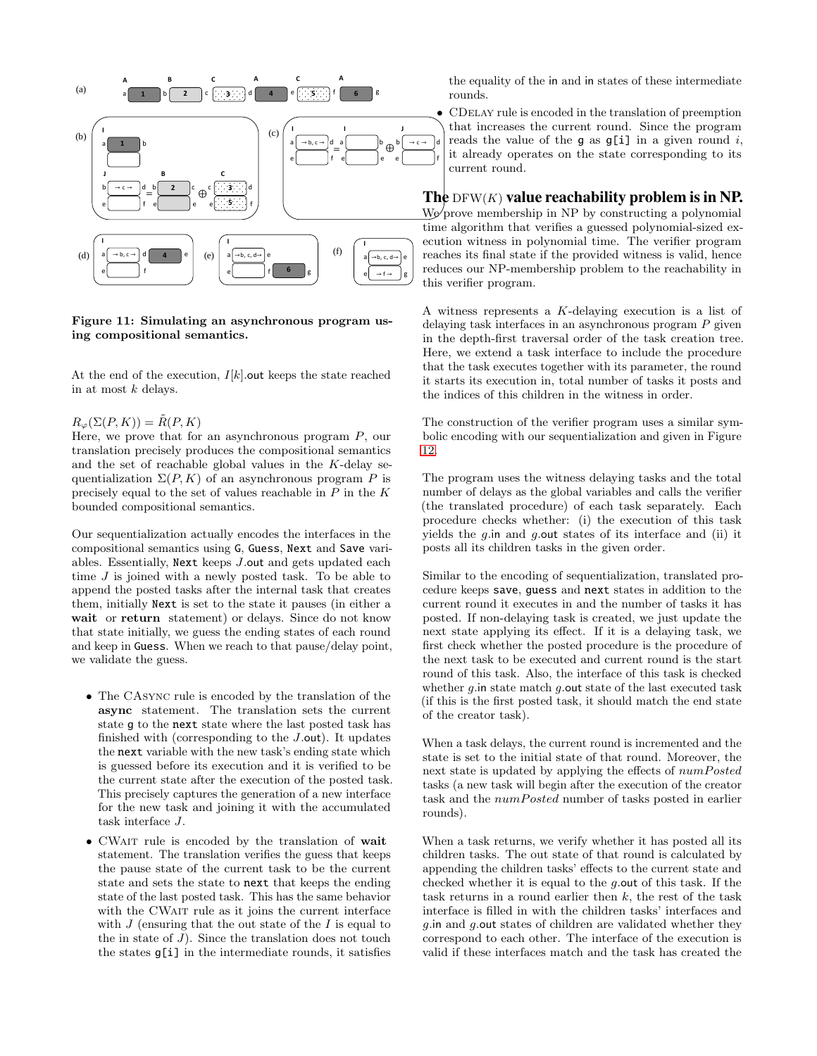

<span id="page-10-0"></span>Figure 11: Simulating an asynchronous program using compositional semantics.

At the end of the execution,  $I[k]$  out keeps the state reached in at most k delays.

#### $R_{\varphi}(\Sigma(P,K)) = R(P,K)$

Here, we prove that for an asynchronous program  $P$ , our translation precisely produces the compositional semantics and the set of reachable global values in the K-delay sequentialization  $\Sigma(P, K)$  of an asynchronous program P is precisely equal to the set of values reachable in  $P$  in the  $K$ bounded compositional semantics.

Our sequentialization actually encodes the interfaces in the compositional semantics using G, Guess, Next and Save variables. Essentially, Next keeps J.out and gets updated each time  $J$  is joined with a newly posted task. To be able to append the posted tasks after the internal task that creates them, initially Next is set to the state it pauses (in either a wait or return statement) or delays. Since do not know that state initially, we guess the ending states of each round and keep in Guess. When we reach to that pause/delay point, we validate the guess.

- The CAsync rule is encoded by the translation of the async statement. The translation sets the current state g to the next state where the last posted task has finished with (corresponding to the  $J$ -out). It updates the next variable with the new task's ending state which is guessed before its execution and it is verified to be the current state after the execution of the posted task. This precisely captures the generation of a new interface for the new task and joining it with the accumulated task interface J.
- CWait rule is encoded by the translation of wait statement. The translation verifies the guess that keeps the pause state of the current task to be the current state and sets the state to next that keeps the ending state of the last posted task. This has the same behavior with the CWAIT rule as it joins the current interface with  $J$  (ensuring that the out state of the  $I$  is equal to the in state of  $J$ ). Since the translation does not touch the states g[i] in the intermediate rounds, it satisfies

the equality of the in and in states of these intermediate rounds.

• CDelay rule is encoded in the translation of preemption that increases the current round. Since the program reads the value of the g as  $g[i]$  in a given round i, it already operates on the state corresponding to its current round.

The DFW(K) value reachability problem is in NP.  $W_{\mathcal{P}}$  prove membership in NP by constructing a polynomial time algorithm that verifies a guessed polynomial-sized execution witness in polynomial time. The verifier program reaches its final state if the provided witness is valid, hence reduces our NP-membership problem to the reachability in this verifier program.

A witness represents a K-delaying execution is a list of delaying task interfaces in an asynchronous program P given in the depth-first traversal order of the task creation tree. Here, we extend a task interface to include the procedure that the task executes together with its parameter, the round it starts its execution in, total number of tasks it posts and the indices of this children in the witness in order.

The construction of the verifier program uses a similar symbolic encoding with our sequentialization and given in Figure [12.](#page-13-0)

The program uses the witness delaying tasks and the total number of delays as the global variables and calls the verifier (the translated procedure) of each task separately. Each procedure checks whether: (i) the execution of this task yields the  $g$ .in and  $g$ .out states of its interface and (ii) it posts all its children tasks in the given order.

Similar to the encoding of sequentialization, translated procedure keeps save, guess and next states in addition to the current round it executes in and the number of tasks it has posted. If non-delaying task is created, we just update the next state applying its effect. If it is a delaying task, we first check whether the posted procedure is the procedure of the next task to be executed and current round is the start round of this task. Also, the interface of this task is checked whether  $g$  in state match  $g$  out state of the last executed task (if this is the first posted task, it should match the end state of the creator task).

When a task delays, the current round is incremented and the state is set to the initial state of that round. Moreover, the next state is updated by applying the effects of  $numPosted$ tasks (a new task will begin after the execution of the creator task and the  $numPosted$  number of tasks posted in earlier rounds).

When a task returns, we verify whether it has posted all its children tasks. The out state of that round is calculated by appending the children tasks' effects to the current state and checked whether it is equal to the g.out of this task. If the task returns in a round earlier then  $k$ , the rest of the task interface is filled in with the children tasks' interfaces and g.in and g.out states of children are validated whether they correspond to each other. The interface of the execution is valid if these interfaces match and the task has created the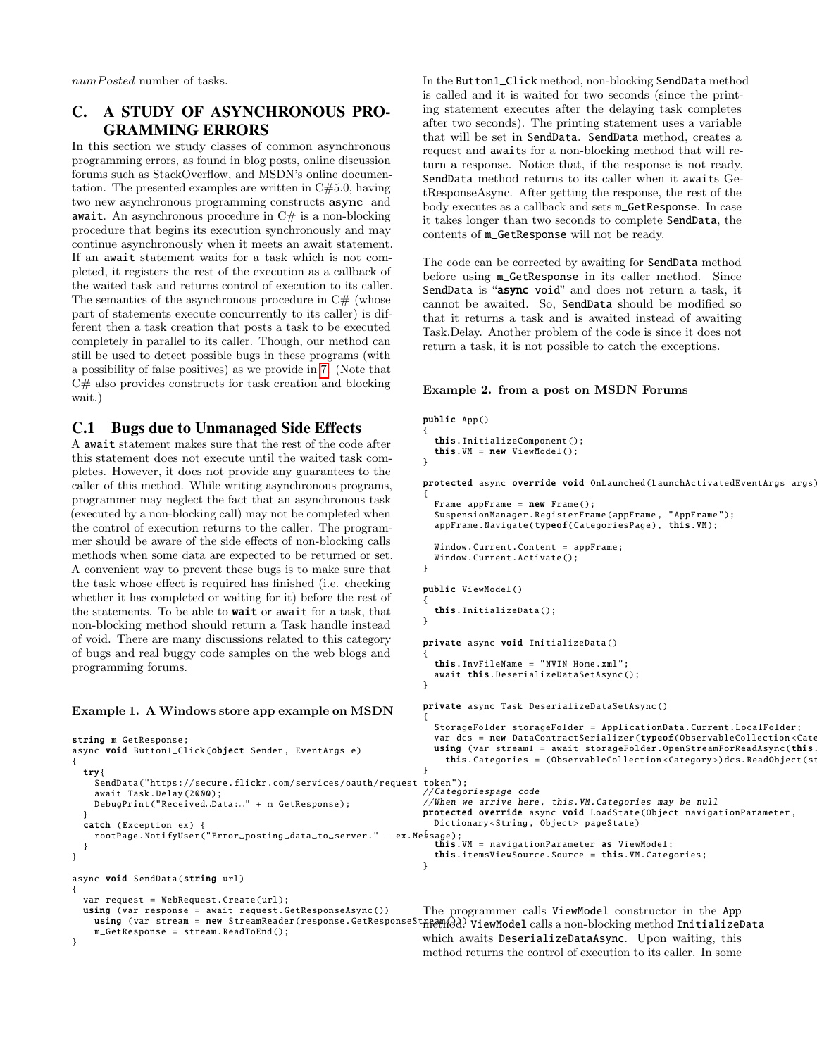$numPosted$  number of tasks.

# C. A STUDY OF ASYNCHRONOUS PRO-GRAMMING ERRORS

In this section we study classes of common asynchronous programming errors, as found in blog posts, online discussion forums such as StackOverflow, and MSDN's online documentation. The presented examples are written in  $C#5.0$ , having two new asynchronous programming constructs async and  $\texttt{await.}$  <br> An asynchronous procedure in C# is a non-blocking procedure that begins its execution synchronously and may continue asynchronously when it meets an await statement. If an await statement waits for a task which is not completed, it registers the rest of the execution as a callback of the waited task and returns control of execution to its caller. The semantics of the asynchronous procedure in  $C#$  (whose part of statements execute concurrently to its caller) is different then a task creation that posts a task to be executed completely in parallel to its caller. Though, our method can still be used to detect possible bugs in these programs (with a possibility of false positives) as we provide in [7.](#page-6-1) (Note that C# also provides constructs for task creation and blocking wait.)

# C.1 Bugs due to Unmanaged Side Effects

A await statement makes sure that the rest of the code after this statement does not execute until the waited task completes. However, it does not provide any guarantees to the caller of this method. While writing asynchronous programs, programmer may neglect the fact that an asynchronous task (executed by a non-blocking call) may not be completed when the control of execution returns to the caller. The programmer should be aware of the side effects of non-blocking calls methods when some data are expected to be returned or set. A convenient way to prevent these bugs is to make sure that the task whose effect is required has finished (i.e. checking whether it has completed or waiting for it) before the rest of the statements. To be able to **wait** or await for a task, that non-blocking method should return a Task handle instead of void. There are many discussions related to this category of bugs and real buggy code samples on the web blogs and programming forums.

### Example 1. A Windows store app example on MSDN

async void Button1\_Click (object Sender , EventArgs e)

DebugPrint ("Received\_Data: " + m\_GetResponse);

string m GetResponse:

await Task.Delay (2000);

async void SendData(string url)

var request = WebRequest.Create(url);

m\_GetResponse = stream. ReadToEnd ();

{ try{

}

} }

{

}

In the Button1\_Click method, non-blocking SendData method is called and it is waited for two seconds (since the printing statement executes after the delaying task completes after two seconds). The printing statement uses a variable that will be set in SendData. SendData method, creates a request and awaits for a non-blocking method that will return a response. Notice that, if the response is not ready, SendData method returns to its caller when it awaits GetResponseAsync. After getting the response, the rest of the body executes as a callback and sets m\_GetResponse. In case it takes longer than two seconds to complete SendData, the contents of m\_GetResponse will not be ready.

The code can be corrected by awaiting for SendData method before using m\_GetResponse in its caller method. Since SendData is "async void" and does not return a task, it cannot be awaited. So, SendData should be modified so that it returns a task and is awaited instead of awaiting Task.Delay. Another problem of the code is since it does not return a task, it is not possible to catch the exceptions.

#### Example 2. from a post on MSDN Forums

```
SendData("https://secure.flickr.com/services/oauth/request_token");
catch (Exception ex) {<br>| Dictionary<String, Object> pageState)<br>| rootPage.NotifyUser("Error_posting_data_to_server." + ex.Me$sage);<br>| this.VM = navigationParameter as ViewModel;
using (var response = await request. GetResponseAsync ())
  using (var stream = new StreamReader(response.GetResponseStreamn)d) ViewModel calls a non-blocking method InitializeData
                                                                   public App ()
                                                                   {
                                                                      this. InitializeComponent ();
                                                                      this. VM = new ViewModel();
                                                                    }
                                                                   protected async override void OnLaunched ( LaunchActivatedEventArgs args)
                                                                    {
                                                                     Frame appFrame = new Frame();
                                                                     SuspensionManager . RegisterFrame (appFrame , "AppFrame");
                                                                     appFrame.Navigate(typeof( CategoriesPage ), this.VM);
                                                                     Window.Current.Content = appFrame;
                                                                     Window.Current. Activate ();
                                                                   }
                                                                   public ViewModel ()
                                                                    {
                                                                     this. InitializeData ();
                                                                   }
                                                                   private async void InitializeData ()
                                                                    {
                                                                      this. InvFileName = "NVIN Home. xml";
                                                                     await this. DeserializeDataSetAsync ();
                                                                   }
                                                                   private async Task DeserializeDataSetAsync ()
                                                                    {
                                                                     StorageFolder storageFolder = ApplicationData.Current.LocalFolder;
                                                                     var dcs = new DataContractSerializer(typeof(ObservableCollection<Cate
                                                                     using (var stream1 = await storageFolder.OpenStreamForReadAsync(this
                                                                        this. Categories = (ObservableCollection<Category>) dcs. ReadObject (stream)
                                                                   }
                                                                    // Categoriespage code
                                                                   // When we arrive here , this.VM. Categories may be null
                                                                   protected override async void LoadState (Object navigationParameter ,
                                                                     Dictionary<String, Object> pageState)
                                                                     this. itemsViewSource .Source = this.VM. Categories ;
                                                                   }
                                                                   The programmer calls ViewModel constructor in the App
```
which awaits DeserializeDataAsync. Upon waiting, this method returns the control of execution to its caller. In some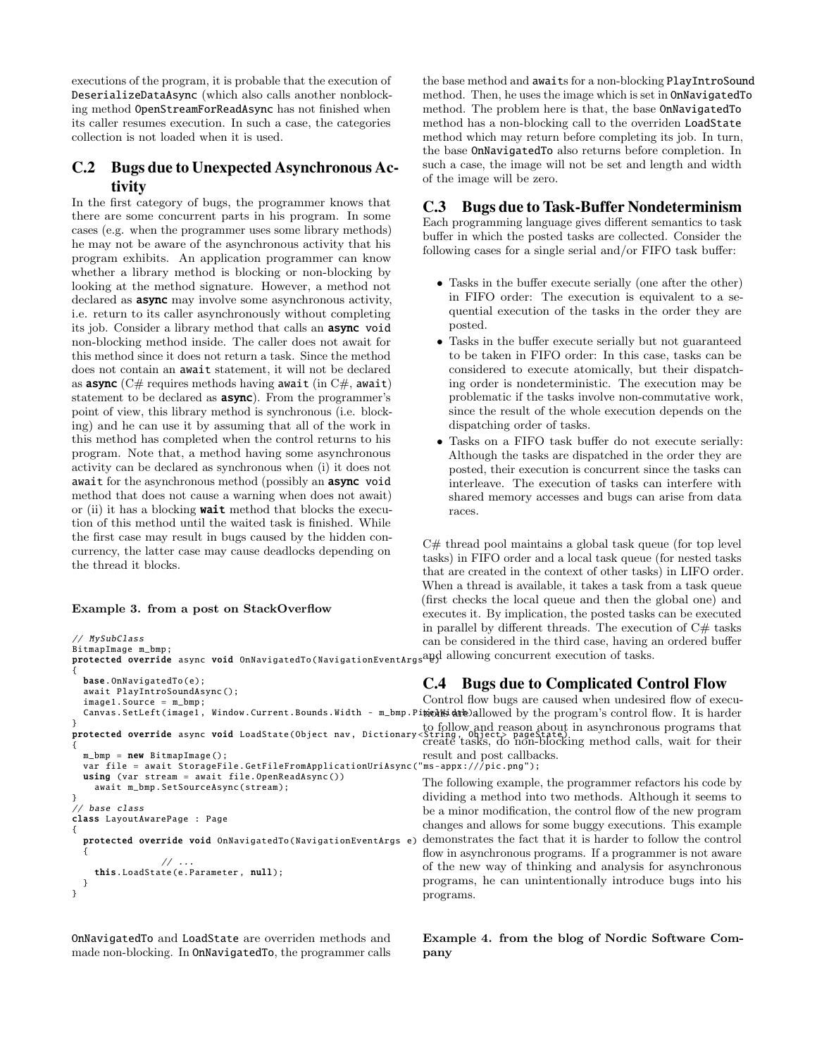executions of the program, it is probable that the execution of DeserializeDataAsync (which also calls another nonblocking method OpenStreamForReadAsync has not finished when its caller resumes execution. In such a case, the categories collection is not loaded when it is used.

# C.2 Bugs due to Unexpected Asynchronous Activity

In the first category of bugs, the programmer knows that there are some concurrent parts in his program. In some cases (e.g. when the programmer uses some library methods) he may not be aware of the asynchronous activity that his program exhibits. An application programmer can know whether a library method is blocking or non-blocking by looking at the method signature. However, a method not declared as **async** may involve some asynchronous activity, i.e. return to its caller asynchronously without completing its job. Consider a library method that calls an async void non-blocking method inside. The caller does not await for this method since it does not return a task. Since the method does not contain an await statement, it will not be declared as **async** ( $C#$  requires methods having await (in  $C#$ , await) statement to be declared as **async**). From the programmer's point of view, this library method is synchronous (i.e. blocking) and he can use it by assuming that all of the work in this method has completed when the control returns to his program. Note that, a method having some asynchronous activity can be declared as synchronous when (i) it does not await for the asynchronous method (possibly an async void method that does not cause a warning when does not await) or (ii) it has a blocking **wait** method that blocks the execution of this method until the waited task is finished. While the first case may result in bugs caused by the hidden concurrency, the latter case may cause deadlocks depending on the thread it blocks.

### Example 3. from a post on StackOverflow

```
// MySubClass
BitmapImage m_bmp;<br>protected override async void OnNavigatedTo(NavigationEventArgs<sup>21</sup>B)<br>{
 base. OnNavigatedTo (e):
  await PlayIntroSoundAsync ();
  image1.Source = m_bmp;
  Canvas.SetLeft(image1, Window.Current.Bounds.Width - m_bmp.Pit@bK$@dk@allowed by the program's control flow. It is harder
}
protected override async void LoadState (Object nav, Dictionary
{
 m_bmp = new BitmapImage();
 var file = await StorageFile.GetFileFromApplicationUriAsync("ms-appx:///pic.png");
  using (var stream = await file. OpenReadAsync ())
    await m_bmp. SetSourceAsync (stream);
}
// base class
class LayoutAwarePage : Page
{
  protected override void OnNavigatedTo ( NavigationEventArgs e)
  {
                  // ...
    this. LoadState (e.Parameter , null);
 }
}
```
OnNavigatedTo and LoadState are overriden methods and made non-blocking. In OnNavigatedTo, the programmer calls the base method and awaits for a non-blocking PlayIntroSound method. Then, he uses the image which is set in OnNavigatedTo method. The problem here is that, the base OnNavigatedTo method has a non-blocking call to the overriden LoadState method which may return before completing its job. In turn, the base OnNavigatedTo also returns before completion. In such a case, the image will not be set and length and width of the image will be zero.

# C.3 Bugs due to Task-Buffer Nondeterminism

Each programming language gives different semantics to task buffer in which the posted tasks are collected. Consider the following cases for a single serial and/or FIFO task buffer:

- Tasks in the buffer execute serially (one after the other) in FIFO order: The execution is equivalent to a sequential execution of the tasks in the order they are posted.
- Tasks in the buffer execute serially but not guaranteed to be taken in FIFO order: In this case, tasks can be considered to execute atomically, but their dispatching order is nondeterministic. The execution may be problematic if the tasks involve non-commutative work, since the result of the whole execution depends on the dispatching order of tasks.
- Tasks on a FIFO task buffer do not execute serially: Although the tasks are dispatched in the order they are posted, their execution is concurrent since the tasks can interleave. The execution of tasks can interfere with shared memory accesses and bugs can arise from data races.

C# thread pool maintains a global task queue (for top level tasks) in FIFO order and a local task queue (for nested tasks that are created in the context of other tasks) in LIFO order. When a thread is available, it takes a task from a task queue (first checks the local queue and then the global one) and executes it. By implication, the posted tasks can be executed in parallel by different threads. The execution of  $C#$  tasks can be considered in the third case, having an ordered buffer and allowing concurrent execution of tasks.

# C.4 Bugs due to Complicated Control Flow

Control flow bugs are caused when undesired flow of executo follow and reason about in asynchronous programs that create tasks, do non-blocking method calls, wait for their result and post callbacks.

The following example, the programmer refactors his code by dividing a method into two methods. Although it seems to be a minor modification, the control flow of the new program changes and allows for some buggy executions. This example demonstrates the fact that it is harder to follow the control flow in asynchronous programs. If a programmer is not aware of the new way of thinking and analysis for asynchronous programs, he can unintentionally introduce bugs into his programs.

Example 4. from the blog of Nordic Software Company